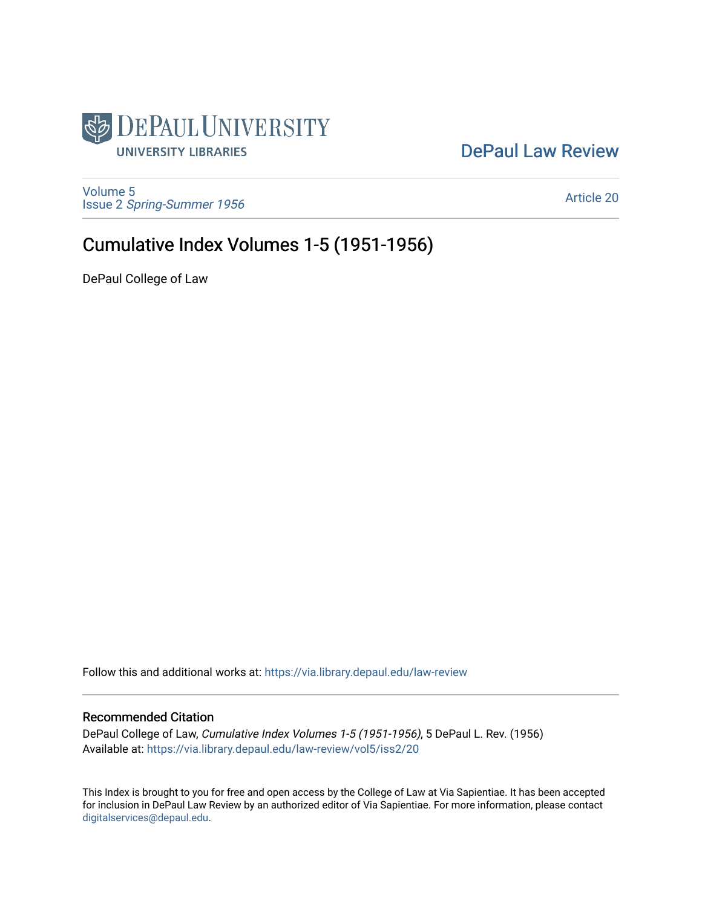

### [DePaul Law Review](https://via.library.depaul.edu/law-review)

[Volume 5](https://via.library.depaul.edu/law-review/vol5) Issue 2 [Spring-Summer 1956](https://via.library.depaul.edu/law-review/vol5/iss2) 

[Article 20](https://via.library.depaul.edu/law-review/vol5/iss2/20) 

### Cumulative Index Volumes 1-5 (1951-1956)

DePaul College of Law

Follow this and additional works at: [https://via.library.depaul.edu/law-review](https://via.library.depaul.edu/law-review?utm_source=via.library.depaul.edu%2Flaw-review%2Fvol5%2Fiss2%2F20&utm_medium=PDF&utm_campaign=PDFCoverPages) 

#### Recommended Citation

DePaul College of Law, Cumulative Index Volumes 1-5 (1951-1956), 5 DePaul L. Rev. (1956) Available at: [https://via.library.depaul.edu/law-review/vol5/iss2/20](https://via.library.depaul.edu/law-review/vol5/iss2/20?utm_source=via.library.depaul.edu%2Flaw-review%2Fvol5%2Fiss2%2F20&utm_medium=PDF&utm_campaign=PDFCoverPages) 

This Index is brought to you for free and open access by the College of Law at Via Sapientiae. It has been accepted for inclusion in DePaul Law Review by an authorized editor of Via Sapientiae. For more information, please contact [digitalservices@depaul.edu.](mailto:digitalservices@depaul.edu)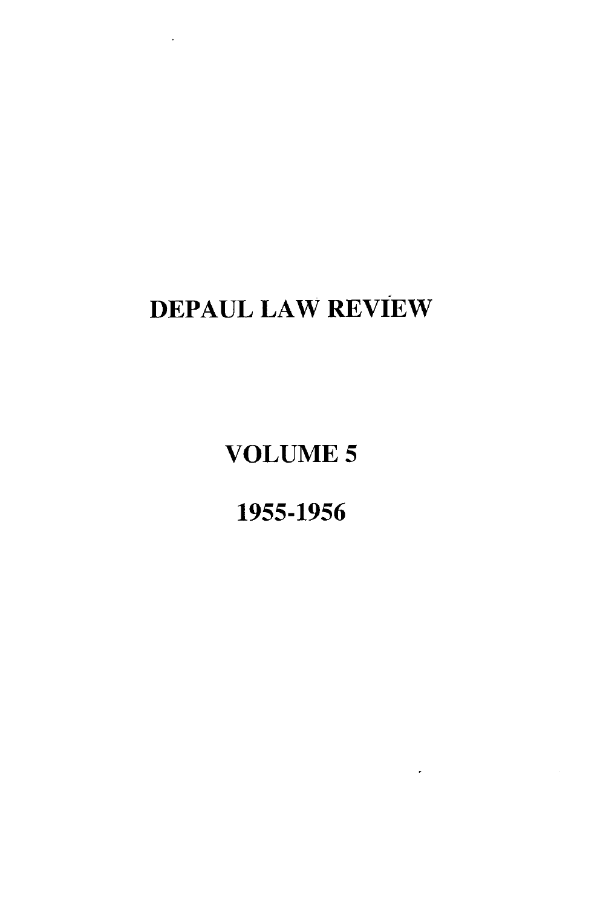## **DEPAUL** LAW REVIEW

**VOLUME** *5*

**1955-1956**

 $\ddot{\phantom{a}}$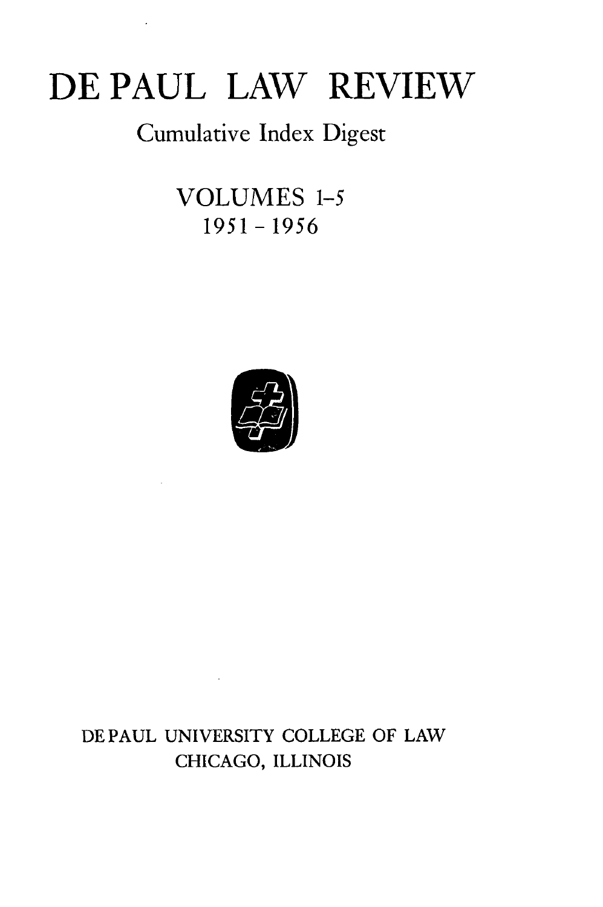# **DE PAUL LAW REVIEW**

## Cumulative Index Digest

**VOLUMES 1-5 1951-1956**



### **DE PAUL UNIVERSITY COLLEGE** OF LAW CHICAGO, ILLINOIS

 $\sim 10^{11}$  km  $^{-1}$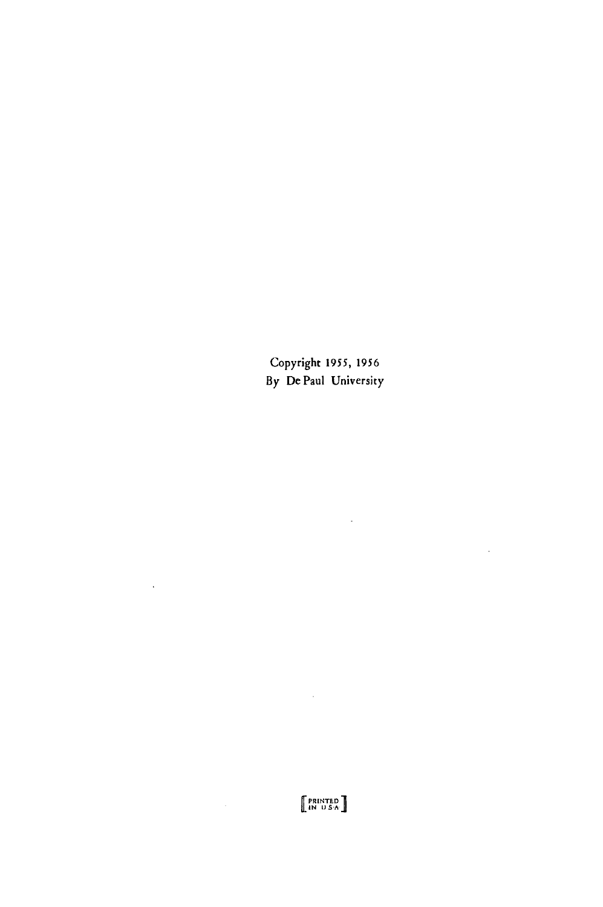Copyright 1955, 1956 **By** De Paul University

 $\mathcal{L}(\mathcal{A})$  and  $\mathcal{L}(\mathcal{A})$ 

 $\mathcal{L}^{\text{max}}_{\text{max}}$  ,  $\mathcal{L}^{\text{max}}_{\text{max}}$ 

 $\mathcal{L}^{\text{max}}_{\text{max}}$  and  $\mathcal{L}^{\text{max}}_{\text{max}}$ 

 $\mathcal{L}^{\text{max}}_{\text{max}}$  and  $\mathcal{L}^{\text{max}}_{\text{max}}$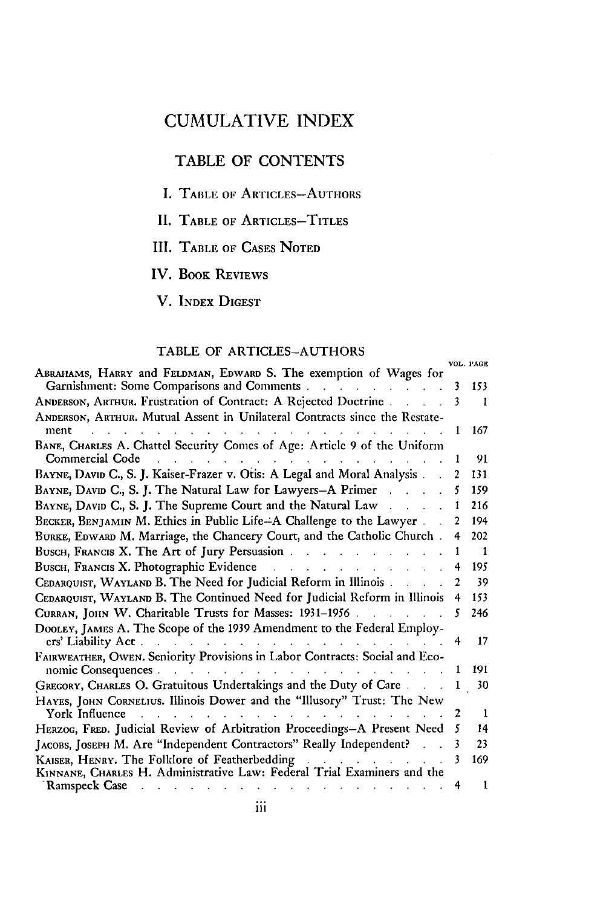#### TABLE OF CONTENTS

- **I. TABLE OF ARTICLES-AUTHORS**
- **II. TABLE OF ARTICLES-TITLES**
- **III.** TABLE OF CASES NOTED
- IV. BOOK REVIEWS

V. INDEX DIGEST

#### TABLE OF ARTICLES-AUTHORS

|                                                                                                                  |   | VOL. PAGE |
|------------------------------------------------------------------------------------------------------------------|---|-----------|
| ABRAHAMS, HARRY and FELDMAN, EDWARD S. The exemption of Wages for<br>Garnishment: Some Comparisons and Comments. | 3 | 153       |
| ANDERSON, ARTHUR. Frustration of Contract: A Rejected Doctrine.                                                  | 3 | 1         |
| ANDERSON, ARTHUR. Mutual Assent in Unilateral Contracts since the Restate-<br>ment                               |   | 167       |
| BANE, CHARLES A. Chattel Security Comes of Age: Article 9 of the Uniform<br>Commercial Code                      |   | 91        |
| BAYNE, DAVID C., S. J. Kaiser-Frazer v. Otis: A Legal and Moral Analysis.                                        |   | 131       |
| BAYNE, DAVID C., S. J. The Natural Law for Lawyers-A Primer                                                      | 5 | 159       |
| BAYNE, DAVID C., S. J. The Supreme Court and the Natural Law                                                     |   | 216       |
| BECKER, BENJAMIN M. Ethics in Public Life-A Challenge to the Lawyer                                              |   | 194       |
| BURKE, EDWARD M. Marriage, the Chancery Court, and the Catholic Church.                                          | 4 | 202       |
| BUSCH, FRANCIS X. The Art of Jury Persuasion                                                                     |   | п         |
| BUSCH, FRANCIS X. Photographic Evidence                                                                          |   | 195       |
| CEDARQUIST, WAYLAND B. The Need for Judicial Reform in Illinois.                                                 |   | 39        |
| CEDARQUIST, WAYLAND B. The Continued Need for Judicial Reform in Illinois                                        |   | 153       |
| CURRAN, JOHN W. Charitable Trusts for Masses: 1931-1956                                                          |   | 246       |
| DOOLEY, JAMES A. The Scope of the 1939 Amendment to the Federal Employ-<br>ers' Liability Act.                   |   | 17        |
| FAIRWEATHER, OWEN. Seniority Provisions in Labor Contracts: Social and Eco-<br>nomic Consequences.               |   | 191       |
| GREGORY, CHARLES O. Gratuitous Undertakings and the Duty of Care                                                 |   | 30        |
| HAYES, JOHN CORNELIUS. Illinois Dower and the "Illusory" Trust: The New<br>York Influence                        |   | Т         |
| HERZOG, FRED. Judicial Review of Arbitration Proceedings-A Present Need                                          |   | 14        |
| JACOBS, JOSEPH M. Are "Independent Contractors" Really Independent?                                              | 3 | 23        |
| KAISER, HENRY. The Folklore of Featherbedding                                                                    |   | 169       |
| KINNANE, CHARLES H. Administrative Law: Federal Trial Examiners and the                                          |   |           |
| Ramspeck Case                                                                                                    | 4 |           |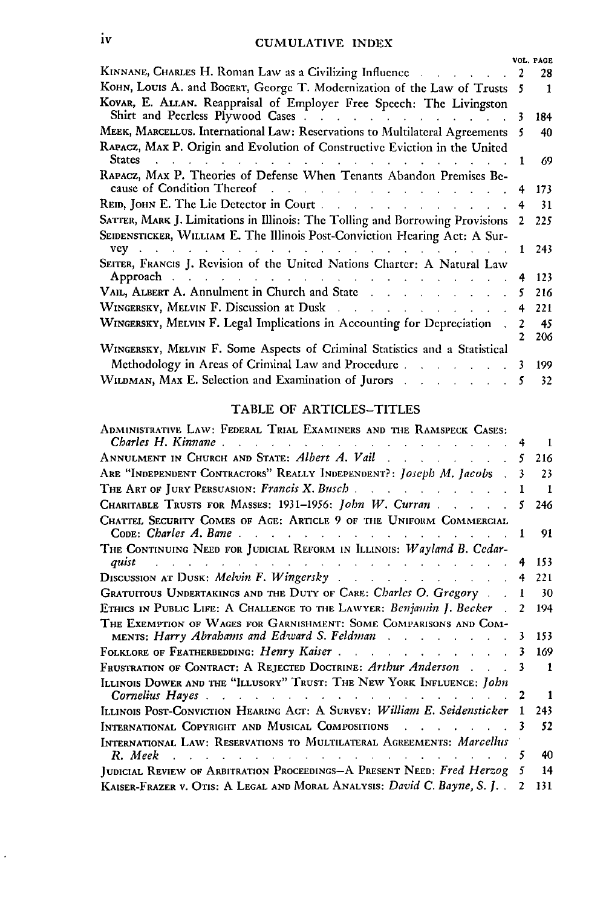|                                                                                                                                                                                           |  | VOL. PAGE |
|-------------------------------------------------------------------------------------------------------------------------------------------------------------------------------------------|--|-----------|
| KINNANE, CHARLES H. Roman Law as a Civilizing Influence Alexander Alexander Alexander Alexander Alexander Alex                                                                            |  | 28        |
| KOHN, LOUIS A. and BOGERT, George T. Modernization of the Law of Trusts                                                                                                                   |  | -1        |
| KOVAR, E. ALLAN. Reappraisal of Employer Free Speech: The Livingston                                                                                                                      |  | 184       |
| MEEK, MARCELLUS. International Law: Reservations to Multilateral Agreements                                                                                                               |  | 40        |
| RAPACZ, MAX P. Origin and Evolution of Constructive Eviction in the United<br><b>States</b><br>the contract of the contract of the contract of                                            |  | 69        |
| RAPACZ, MAX P. Theories of Defense When Tenants Abandon Premises Be-                                                                                                                      |  |           |
| cause of Condition Thereof                                                                                                                                                                |  | 173       |
| REID, JOHN E. The Lie Detector in Court.                                                                                                                                                  |  | 31        |
| SATTER, MARK J. Limitations in Illinois: The Tolling and Borrowing Provisions                                                                                                             |  | 225       |
| SEIDENSTICKER, WILLIAM E. The Illinois Post-Conviction Hearing Act: A Sur-                                                                                                                |  |           |
| $VCV$<br>the contract of the contract of the contract of the contract of the contract of                                                                                                  |  | 243       |
| SEITER, FRANCIS J. Revision of the United Nations Charter: A Natural Law<br>Approach and a subsequently and a subsequently contained a subsequently approach of the set of the set of the |  | 123       |
|                                                                                                                                                                                           |  | 216       |
|                                                                                                                                                                                           |  | 221       |
| WINGERSKY, MELVIN F. Legal Implications in Accounting for Depreciation.                                                                                                                   |  | 45        |
|                                                                                                                                                                                           |  | 206       |
| WINGERSKY, MELVIN F. Some Aspects of Criminal Statistics and a Statistical                                                                                                                |  |           |
| Methodology in Areas of Criminal Law and Procedure.<br>and the state of the state of the                                                                                                  |  | 199       |
| WILDMAN, MAX E. Selection and Examination of Jurors                                                                                                                                       |  | 32        |

#### TABLE **OF** ARTICLES-TITLES

| Administrative Law: Federal Trial Examiners and the Ramspeck Cases:                                                                                                                                                                   |    |              |
|---------------------------------------------------------------------------------------------------------------------------------------------------------------------------------------------------------------------------------------|----|--------------|
| Charles H. Kinnane<br>and the contract of the contract of the contract of the contract of the contract of                                                                                                                             |    | -1           |
|                                                                                                                                                                                                                                       | 5  | 216          |
| ARE "INDEPENDENT CONTRACTORS" REALLY INDEPENDENT?: Joseph M. Jacobs                                                                                                                                                                   |    | 23           |
| THE ART OF JURY PERSUASION: Francis X. Busch.                                                                                                                                                                                         |    | $\mathbf{r}$ |
| CHARITABLE TRUSTS FOR MASSES: 1931-1956: John W. Curran                                                                                                                                                                               | 5  | 246          |
| CHATTEL SECURITY COMES OF AGE: ARTICLE 9 OF THE UNIFORM COMMERCIAL                                                                                                                                                                    | -1 | 91           |
| THE CONTINUING NEED FOR JUDICIAL REFORM IN ILLINOIS: Wayland B. Cedar-<br>quist<br>the contract of the contract of the contract of the contract of the contract of                                                                    |    | 153          |
|                                                                                                                                                                                                                                       | 4  | 221          |
| GRATUITOUS UNDERTAKINGS AND THE DUTY OF CARE: Charles O. Gregory.                                                                                                                                                                     |    | 30           |
| ETHICS IN PUBLIC LIFE: A CHALLENGE TO THE LAWYER: <i>Benjamin J. Becker</i>                                                                                                                                                           | 2  | 194          |
| THE EXEMPTION OF WAGES FOR GARNISHMENT: SOME COMPARISONS AND COM-<br>MENTS: Harry Abrahams and Edward S. Feldman                                                                                                                      | 3  | 153          |
|                                                                                                                                                                                                                                       |    | 169          |
| Frustration of Contract: A Rejected Doctrine: Arthur Anderson                                                                                                                                                                         | 3  | 1            |
| ILLINOIS DOWER AND THE "ILLUSORY" TRUST: THE NEW YORK INFLUENCE: John                                                                                                                                                                 |    |              |
|                                                                                                                                                                                                                                       |    | 1            |
| ILLINOIS POST-CONVICTION HEARING ACT: A SURVEY: William E. Seidensticker                                                                                                                                                              | 1  | 243          |
| INTERNATIONAL COPYRIGHT AND MUSICAL COMPOSITIONS                                                                                                                                                                                      |    | 52           |
| INTERNATIONAL LAW: RESERVATIONS TO MULTILATERAL AGREEMENTS: Marcellus                                                                                                                                                                 |    |              |
| $R. \textit{ Meek}$ . The contract of the contract of the contract of the contract of the contract of the contract of the contract of the contract of the contract of the contract of the contract of the contract of the contract of | 5  | 40           |
| JUDICIAL REVIEW OF ARBITRATION PROCEEDINGS-A PRESENT NEED: Fred Herzog                                                                                                                                                                |    | 14           |
| KAISER-FRAZER V. OTIS: A LEGAL AND MORAL ANALYSIS: David C. Bayne, S. J                                                                                                                                                               |    | 131          |

 $\ddot{\phantom{0}}$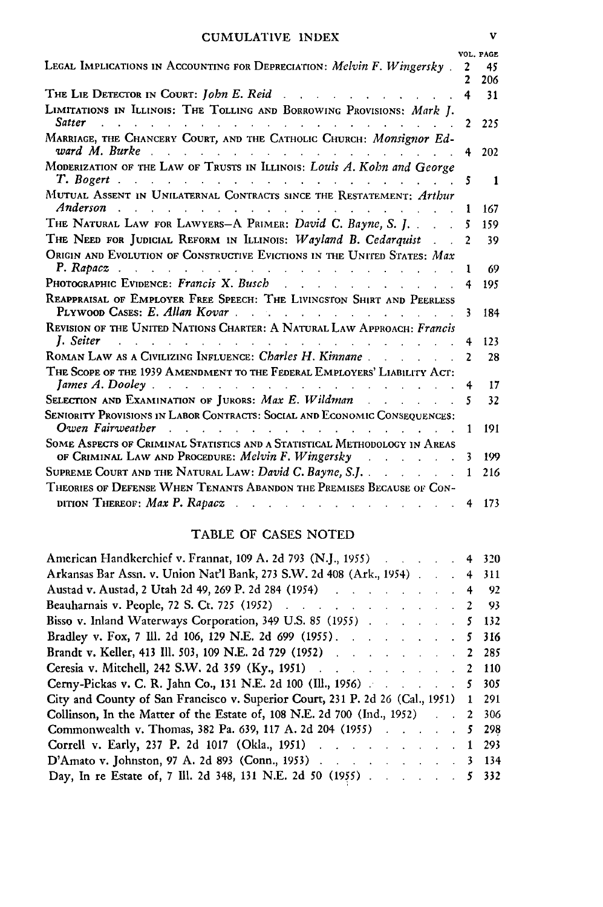|                                                                                                                                                                  |              | VOL. PAGE |
|------------------------------------------------------------------------------------------------------------------------------------------------------------------|--------------|-----------|
| Legal Implications in Accounting for Depreciation: <i>Melvin F. Wingersky</i> ,                                                                                  | 2            | 45        |
|                                                                                                                                                                  |              | 206       |
| THE LIE DETECTOR IN COURT: John E. Reid                                                                                                                          |              | 31        |
| LIMITATIONS IN ILLINOIS: THE TOLLING AND BORROWING PROVISIONS: Mark I.<br><b>Satter</b>                                                                          | 2            | 225       |
| MARRIAGE, THE CHANCERY COURT, AND THE CATHOLIC CHURCH: Monsignor Ed-<br>ward M. Burke                                                                            | 4            | 202       |
| MODERIZATION OF THE LAW OF TRUSTS IN ILLINOIS: Louis A. Kohn and George<br>T. Bogert<br>and a state                                                              | 5            | 1         |
| MUTUAL ASSENT IN UNILATERNAL CONTRACTS SINCE THE RESTATEMENT: Arthur<br>Anderson                                                                                 | ı            | 167       |
| THE NATURAL LAW FOR LAWYERS-A PRIMER: David C. Bayne, S. J.                                                                                                      | 5            | 159       |
| THE NEED FOR JUDICIAL REFORM IN ILLINOIS: Wayland B. Cedarquist                                                                                                  | $\mathbf{2}$ | 39        |
| ORIGIN AND EVOLUTION OF CONSTRUCTIVE EVICTIONS IN THE UNITED STATES: Max<br>P. Rapacz<br>والتواصل                                                                | L            | 69        |
| PHOTOGRAPHIC EVIDENCE: Francis X. Busch<br>$1 - 1 - 1 = 1$                                                                                                       |              | 195       |
| REAPPRAISAL OF EMPLOYER FREE SPEECH: THE LIVINGSTON SHIRT AND PEERLESS<br>PLYWOOD CASES: E. Allan Kovar<br>and the control of the control of                     | 3            | 184       |
| REVISION OF THE UNITED NATIONS CHARTER: A NATURAL LAW APPROACH: Francis<br>I. Seiter                                                                             |              | 123       |
| ROMAN LAW AS A CIVILIZING INFLUENCE: Charles H. Kinnane.                                                                                                         | 2            | 28        |
| THE SCOPE OF THE 1939 AMENDMENT TO THE FEDERAL EMPLOYERS' LIABILITY ACT:                                                                                         |              |           |
| James A. Dooley.<br>the company of the company of the                                                                                                            |              | 17        |
| SELECTION AND EXAMINATION OF JURORS: Max E. Wildman<br>and the company                                                                                           | 5            | 32        |
| SENIORITY PROVISIONS IN LABOR CONTRACTS: SOCIAL AND ECONOMIC CONSEQUENCES:<br>Owen Fairweather                                                                   | L            | 191       |
| SOME ASPECTS OF CRIMINAL STATISTICS AND A STATISTICAL METHODOLOGY IN AREAS<br>OF CRIMINAL LAW AND PROCEDURE: Melvin F. Wingersky<br>and the contract of the con- |              | 199       |
| SUPREME COURT AND THE NATURAL LAW: David C. Bayne, S.J                                                                                                           |              | 216       |
| THEORIES OF DEFENSE WHEN TENANTS ABANDON THE PREMISES BECAUSE OF CON-                                                                                            |              |           |
| DITION THEREOF: Max P. Rapacz                                                                                                                                    |              | 173       |

#### TABLE OF CASES NOTED

| American Handkerchief v. Frannat, 109 A. 2d 793 (N.J., 1955) 4 320                  |  |  |  |
|-------------------------------------------------------------------------------------|--|--|--|
| Arkansas Bar Assn. v. Union Nat'l Bank, 273 S.W. 2d 408 (Ark., 1954) 4 311          |  |  |  |
| Austad v. Austad, 2 Utah 2d 49, 269 P. 2d 284 (1954) 4 92                           |  |  |  |
| Beauharnais v. People, 72 S. Ct. 725 (1952) 2 93                                    |  |  |  |
| Bisso v. Inland Waterways Corporation, 349 U.S. 85 (1955) 5 132                     |  |  |  |
| Bradley v. Fox, 7 Ill. 2d 106, 129 N.E. 2d 699 (1955). 5 316                        |  |  |  |
| Brandt v. Keller, 413 Ill. 503, 109 N.E. 2d 729 (1952) 2 285                        |  |  |  |
| Ceresia v. Mitchell, 242 S.W. 2d 359 (Ky., 1951) 2 110                              |  |  |  |
| Cerny-Pickas v. C. R. Jahn Co., 131 N.E. 2d 100 (Ill., 1956) 5 305                  |  |  |  |
| City and County of San Francisco v. Superior Court, 231 P. 2d 26 (Cal., 1951) 1 291 |  |  |  |
| Collinson, In the Matter of the Estate of, 108 N.E. 2d 700 (Ind., 1952) 2 306       |  |  |  |
| Commonwealth v. Thomas, 382 Pa. 639, 117 A. 2d 204 (1955) 5 298                     |  |  |  |
| Correll v. Early, 237 P. 2d 1017 (Okla., 1951) 1 293                                |  |  |  |
| D'Amato v. Johnston, 97 A. 2d 893 (Conn., 1953) 3 134                               |  |  |  |
| Day, In re Estate of, 7 Ill. 2d 348, 131 N.E. 2d 50 (1955) 5 332                    |  |  |  |
|                                                                                     |  |  |  |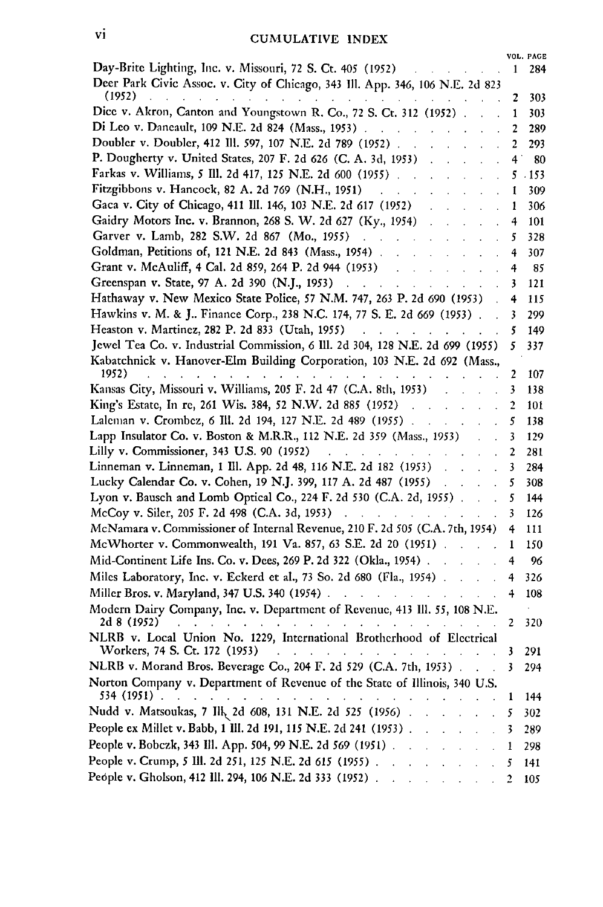|                                                                                                        |    | VOL. PAGE |
|--------------------------------------------------------------------------------------------------------|----|-----------|
| Day-Brite Lighting, Inc. v. Missouri, 72 S. Ct. 405 (1952)                                             | 1  | 284       |
| Deer Park Civic Assoc. v. City of Chicago, 343 Ill. App. 346, 106 N.E. 2d 823                          |    |           |
| (1952)<br>$\ddot{\phantom{0}}$                                                                         | 2  | 303       |
| Dice v. Akron, Canton and Youngstown R. Co., 72 S. Ct. 312 (1952).                                     | 1  | 303       |
| Di Leo v. Daneault, 109 N.E. 2d 824 (Mass., 1953).                                                     | 2  | 289       |
| Doubler v. Doubler, 412 Ill. 597, 107 N.E. 2d 789 (1952).                                              | 2  | 293       |
| P. Dougherty v. United States, 207 F. 2d 626 (C. A. 3d, 1953)                                          | 4. | 80        |
| Farkas v. Williams, 5 Ill. 2d 417, 125 N.E. 2d 600 (1955)                                              | 5  | .153      |
| Fitzgibbons v. Hancock, 82 A. 2d 769 (N.H., 1951)                                                      | 1  | 309       |
| Gaca v. City of Chicago, 411 Ill. 146, 103 N.E. 2d 617 (1952)                                          | ı  | 306       |
| Gaidry Motors Inc. v. Brannon, 268 S. W. 2d 627 (Ky., 1954)                                            | 4  | 101       |
| Garver v. Lamb, 282 S.W. 2d 867 (Mo., 1955)                                                            | 5  | 328       |
| Goldman, Petitions of, 121 N.E. 2d 843 (Mass., 1954).                                                  | 4  | 307       |
| Grant v. McAuliff, 4 Cal. 2d 859, 264 P. 2d 944 (1953)                                                 | 4  | 85        |
| Greenspan v. State, 97 A. 2d 390 (N.J., 1953)                                                          |    |           |
| $\mathbf{r} = \mathbf{r}$<br>l.                                                                        | 3  | 121       |
| Hathaway v. New Mexico State Police, 57 N.M. 747, 263 P. 2d 690 (1953)                                 | 4  | 115       |
| Hawkins v. M. & J Finance Corp., 238 N.C. 174, 77 S. E. 2d 669 (1953).                                 | 3  | 299       |
| Heaston v. Martinez, 282 P. 2d 833 (Utah, 1955)                                                        | 5  | 149       |
| Jewel Tea Co. v. Industrial Commission, 6 Ill. 2d 304, 128 N.E. 2d 699 (1955)                          | 5  | 337       |
| Kabatchnick v. Hanover-Elm Building Corporation, 103 N.E. 2d 692 (Mass.,                               |    |           |
| 1952)                                                                                                  | 2  | 107       |
| Kansas City, Missouri v. Williams, 205 F. 2d 47 (C.A. 8th, 1953)                                       | 3  | 138       |
| King's Estate, In re, 261 Wis. 384, 52 N.W. 2d 885 (1952)                                              | 2  | 101       |
| Laleman v. Crombez, 6 Ill. 2d 194, 127 N.E. 2d 489 (1955).                                             | 5  | 138       |
| Lapp Insulator Co. v. Boston & M.R.R., 112 N.E. 2d 359 (Mass., 1953)                                   | 3  | 129       |
| Lilly v. Commissioner, 343 U.S. 90 (1952)                                                              | 2  | 281       |
| Linneman v. Linneman, 1 Ill. App. 2d 48, 116 N.E. 2d 182 (1953)                                        | 3  | 284       |
| Lucky Calendar Co. v. Cohen, 19 N.J. 399, 117 A. 2d 487 (1955)                                         | 5  | 308       |
| Lyon v. Bausch and Lomb Optical Co., 224 F. 2d 530 (C.A. 2d, 1955).                                    | 5  | 144       |
| McCoy v. Siler, 205 F. 2d 498 (C.A. 3d, 1953)<br><b>Carl Controller</b>                                | 3  | 126       |
|                                                                                                        |    |           |
| McNamara v. Commissioner of Internal Revenue, 210 F. 2d 505 (C.A. 7th, 1954)                           | 4  | 111       |
| McWhorter v. Commonwealth, 191 Va. 857, 63 S.E. 2d 20 (1951).                                          | 1  | 150       |
| Mid-Continent Life Ins. Co. v. Dees, 269 P. 2d 322 (Okla., 1954).                                      | 4  | 96        |
| Miles Laboratory, Inc. v. Eckerd et al., 73 So. 2d 680 (Fla., 1954).                                   | 4  | 326       |
| Miller Bros. v. Maryland, 347 U.S. 340 (1954).<br>and a strategic control                              | 4  | 108       |
| Modern Dairy Company, Inc. v. Department of Revenue, 413 Ill. 55, 108 N.E.                             |    |           |
| 2d 8 (1952)<br>$\mathbf{r} = \mathbf{r}$<br>$\mathbf{L} = \mathbf{L}$                                  | 2  | 320       |
| NLRB v. Local Union No. 1229, International Brotherhood of Electrical<br>Workers, 74 S. Ct. 172 (1953) | 3  | 291       |
| NLRB v. Morand Bros. Beverage Co., 204 F. 2d 529 (C.A. 7th, 1953).                                     | 3  | 294       |
| Norton Company v. Department of Revenue of the State of Illinois, 340 U.S.                             |    |           |
| 534 (1951)                                                                                             | 1  | 144       |
| Nudd v. Matsoukas, 7 Ilk 2d 608, 131 N.E. 2d 525 (1956)                                                | 5  | 302       |
| People ex Millet v. Babb, 1 Ill. 2d 191, 115 N.E. 2d 241 (1953).                                       | 3  | 289       |
| People v. Bobczk, 343 III. App. 504, 99 N.E. 2d 569 (1951).                                            | 1  | 298       |
| People v. Crump, 5 Ill. 2d 251, 125 N.E. 2d 615 (1955).<br>$\mathcal{L}$<br>$\ddot{\phantom{a}}$       | 5  | 141       |
| People v. Gholson, 412 Ill. 294, 106 N.E. 2d 333 (1952).                                               | 2  | 105       |
|                                                                                                        |    |           |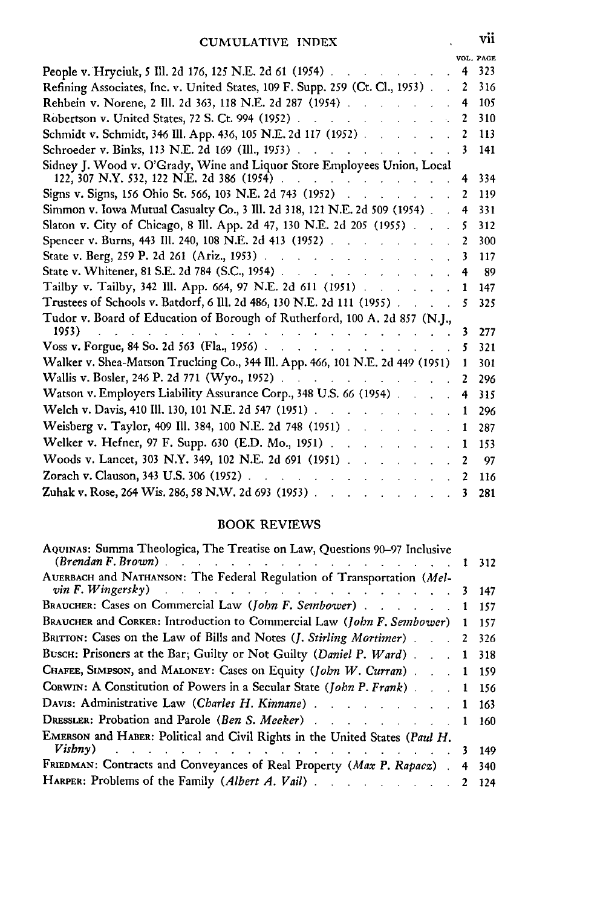|                                                                                                                                                   |   | VOL. PAGE |
|---------------------------------------------------------------------------------------------------------------------------------------------------|---|-----------|
| People v. Hryciuk, 5 Ill. 2d 176, 125 N.E. 2d 61 (1954)                                                                                           |   | 323       |
| Refining Associates, Inc. v. United States, 109 F. Supp. 259 (Ct. Cl., 1953).                                                                     | 2 | 316       |
| Rehbein v. Norene, 2 Ill. 2d 363, 118 N.E. 2d 287 (1954).                                                                                         |   | 105       |
| Robertson v. United States, 72 S. Ct. 994 (1952).                                                                                                 | 2 | 310       |
| Schmidt v. Schmidt, 346 Ill. App. 436, 105 N.E. 2d 117 (1952).                                                                                    |   | 113       |
| Schroeder v. Binks, 113 N.E. 2d 169 (Ill., 1953).                                                                                                 |   | 141       |
| Sidney J. Wood v. O'Grady, Wine and Liquor Store Employees Union, Local                                                                           |   |           |
| 122, 307 N.Y. 532, 122 N.E. 2d 386 (1954)                                                                                                         |   | 334       |
| Signs v. Signs, 156 Ohio St. 566, 103 N.E. 2d 743 (1952)                                                                                          |   | 119       |
| Simmon v. Iowa Mutual Casualty Co., 3 Ill. 2d 318, 121 N.E. 2d 509 (1954).                                                                        | 4 | 331       |
| Slaton v. City of Chicago, 8 Ill. App. 2d 47, 130 N.E. 2d 205 (1955).                                                                             | 5 | 312       |
| Spencer v. Burns, 443 Ill. 240, 108 N.E. 2d 413 (1952).<br><b>Contract</b>                                                                        |   | 300       |
| State v. Berg, 259 P. 2d 261 (Ariz., 1953).<br>$\mathcal{L} = \mathcal{L} \times \mathcal{L} = \mathcal{L} \times \mathcal{L} \times \mathcal{L}$ |   | 117       |
| State v. Whitener, 81 S.E. 2d 784 (S.C., 1954).<br>and a strategic control.                                                                       |   | 89        |
| Tailby v. Tailby, 342 Ill. App. 664, 97 N.E. 2d 611 (1951).                                                                                       |   | 147       |
| Trustees of Schools v. Batdorf, 6 Ill. 2d 486, 130 N.E. 2d 111 (1955).                                                                            |   | 325       |
| Tudor v. Board of Education of Borough of Rutherford, 100 A. 2d 857 (N.J.,                                                                        |   |           |
| 1953)                                                                                                                                             | 3 | 277       |
| Voss v. Forgue, 84 So. 2d 563 (Fla., 1956).                                                                                                       |   | 321       |
| Walker v. Shea-Matson Trucking Co., 344 Ill. App. 466, 101 N.E. 2d 449 (1951)                                                                     |   | 301       |
| Wallis v. Bosler, 246 P. 2d 771 (Wyo., 1952).<br>and the state of the                                                                             | 2 | 296       |
| Watson v. Employers Liability Assurance Corp., 348 U.S. 66 (1954).                                                                                | 4 | 315       |
| Welch v. Davis, 410 Ill. 130, 101 N.E. 2d 547 (1951).                                                                                             |   | 296       |
| Weisberg v. Taylor, 409 Ill. 384, 100 N.E. 2d 748 (1951)                                                                                          | 1 | 287       |
| Welker v. Hefner, 97 F. Supp. 630 (E.D. Mo., 1951).<br>and the state of the state of                                                              |   | 153       |
| Woods v. Lancet, 303 N.Y. 349, 102 N.E. 2d 691 (1951).                                                                                            |   | 97        |
| Zorach v. Clauson, 343 U.S. 306 (1952).                                                                                                           |   | 116       |
| Zuhak v. Rose, 264 Wis. 286, 58 N.W. 2d 693 (1953).                                                                                               |   | 281       |
|                                                                                                                                                   |   |           |

#### BOOK REVIEWS

| AQUINAS: Summa Theologica, The Treatise on Law, Questions 90-97 Inclusive<br>$(Brendan F. Brown)$ .                                                                                                                                                                                                                          |   | 312   |
|------------------------------------------------------------------------------------------------------------------------------------------------------------------------------------------------------------------------------------------------------------------------------------------------------------------------------|---|-------|
| AUERBACH and NATHANSON: The Federal Regulation of Transportation (Mel-<br>$\textit{vin } F. \textit{Wingersky}$ and $\textit{V}$ are the set of the set of the set of the set of the set of the set of the set of the set of the set of the set of the set of the set of the set of the set of the set of the set of the set | 3 | 147   |
| BRAUCHER: Cases on Commercial Law (John F. Sembower) 1                                                                                                                                                                                                                                                                       |   | 157   |
| BRAUCHER and CORKER: Introduction to Commercial Law (John F. Sembower)                                                                                                                                                                                                                                                       |   | 157   |
| BRITTON: Cases on the Law of Bills and Notes ( <i>J. Stirling Mortimer</i> )                                                                                                                                                                                                                                                 |   | 2 326 |
| BUSCH: Prisoners at the Bar; Guilty or Not Guilty (Daniel P. Ward)                                                                                                                                                                                                                                                           |   | 1 318 |
| CHAFEE, SIMPSON, and MALONEY: Cases on Equity (John W. Curran) 1 159                                                                                                                                                                                                                                                         |   |       |
| CORWIN: A Constitution of Powers in a Secular State (John P. Frank).                                                                                                                                                                                                                                                         |   | 1 156 |
| Davis: Administrative Law (Charles H. Kinnane) 1 163                                                                                                                                                                                                                                                                         |   |       |
|                                                                                                                                                                                                                                                                                                                              |   | 1 160 |
| EMERSON and HABER: Political and Civil Rights in the United States (Paul H.                                                                                                                                                                                                                                                  |   |       |
| Visbny) and the contract of the contract of the contract of the contract of the contract of the contract of the contract of the contract of the contract of the contract of the contract of the contract of the contract of th                                                                                               |   | 149   |
| FRIEDMAN: Contracts and Conveyances of Real Property (Max P. Rapacz)                                                                                                                                                                                                                                                         | 4 | 340   |
|                                                                                                                                                                                                                                                                                                                              |   | 124   |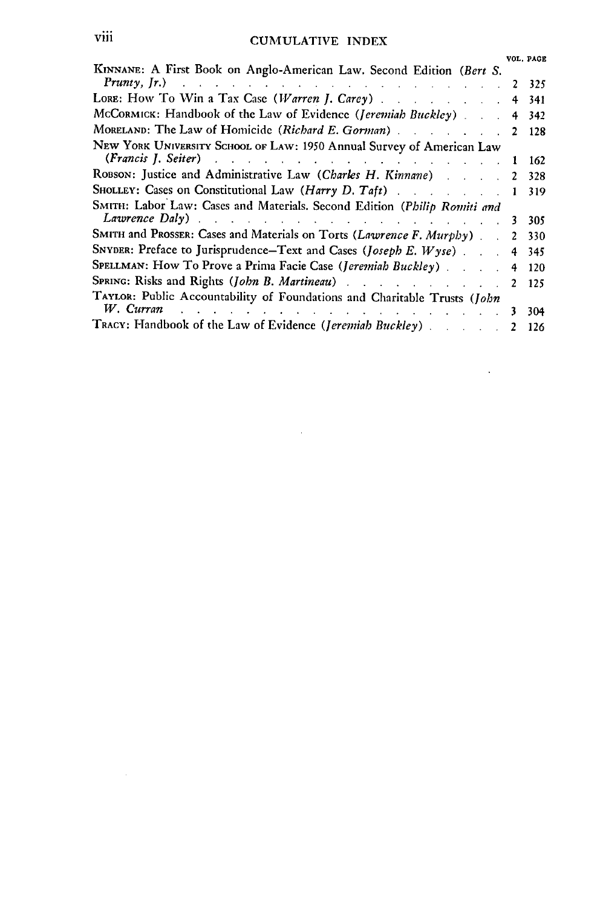### viii CUMULATIVE INDEX

|                                                                                                                                                                                                                                                                                                         |   | VOL. PAGE |
|---------------------------------------------------------------------------------------------------------------------------------------------------------------------------------------------------------------------------------------------------------------------------------------------------------|---|-----------|
| KINNANE: A First Book on Anglo-American Law. Second Edition (Bert S.<br><b>Prunty, Jr.</b> ) and the contract of the contract of the contract of the contract of $\mathbf{r}$                                                                                                                           |   | 2 325     |
| LORE: How To Win a Tax Case (Warren J. Carey) 4 341                                                                                                                                                                                                                                                     |   |           |
| McCORMICK: Handbook of the Law of Evidence (Jeremiah Buckley) 4 342                                                                                                                                                                                                                                     |   |           |
| MORELAND: The Law of Homicide (Richard E. Gorman).                                                                                                                                                                                                                                                      |   | 2 128     |
| NEW YORK UNIVERSITY SCHOOL OF LAW: 1950 Annual Survey of American Law<br>(Francis J. Seiter) and the contract of the contract of the contract of the contract of the contract of the contract of the contract of the contract of the contract of the contract of the contract of the contract of the co | 1 | 162       |
| ROBSON: Justice and Administrative Law (Charles H. Kinnane)                                                                                                                                                                                                                                             |   | 328       |
| SHOLLEY: Cases on Constitutional Law (Harry D. Taft)                                                                                                                                                                                                                                                    |   | 319       |
| SMITH: Labor Law: Cases and Materials. Second Edition (Philip Romiti and                                                                                                                                                                                                                                |   |           |
| Lawrence Daly) and the contract of the contract of the contract of the contract of the contract of the contract of the contract of the contract of the contract of the contract of the contract of the contract of the contrac                                                                          | 3 | 305       |
| SMITH and PROSSER: Cases and Materials on Torts (Lawrence F. Murphy)                                                                                                                                                                                                                                    |   | 330       |
| SNYDER: Preface to Jurisprudence-Text and Cases (Joseph E. Wyse)                                                                                                                                                                                                                                        | 4 | 345       |
| SPELLMAN: How To Prove a Prima Facie Case (Jeremiah Buckley) 4                                                                                                                                                                                                                                          |   | 120       |
| SPRING: Risks and Rights (John B. Martineau) 2                                                                                                                                                                                                                                                          |   | 125       |
| TAYLOR: Public Accountability of Foundations and Charitable Trusts (John                                                                                                                                                                                                                                |   |           |
| W. Curran $\cdots$ $\cdots$ $\cdots$ $\cdots$ $\cdots$ $\cdots$ $\cdots$ $\cdots$ $\cdots$ $\cdots$                                                                                                                                                                                                     | 3 | 304       |
| TRACY: Handbook of the Law of Evidence (Jeremiah Buckley)                                                                                                                                                                                                                                               |   | - 126     |

 $\mathcal{L}^{\text{max}}_{\text{max}}$  and  $\mathcal{L}^{\text{max}}_{\text{max}}$ 

 $\mathcal{L}^{\text{max}}_{\text{max}}$  ,  $\mathcal{L}^{\text{max}}_{\text{max}}$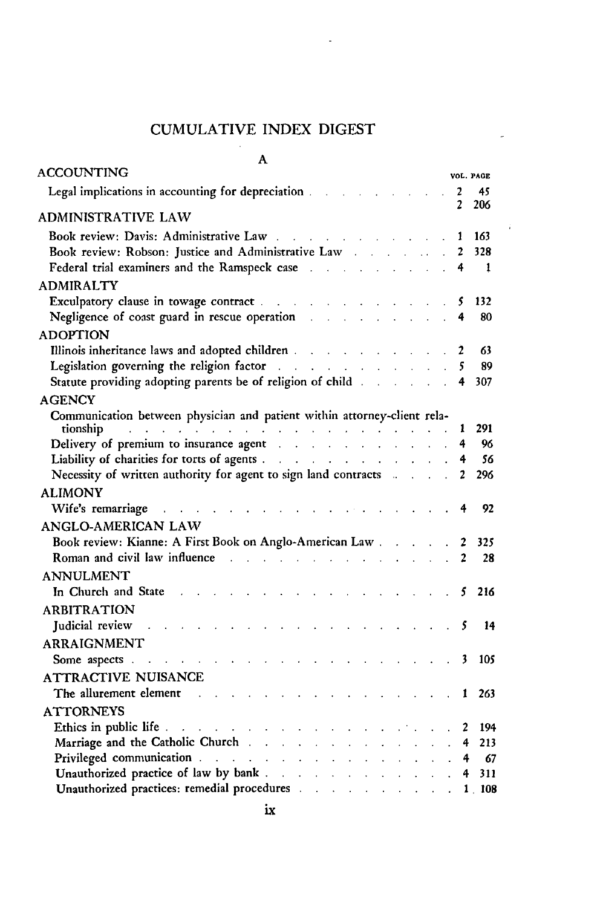### CUMULATIVE INDEX DIGEST

 $\ddot{\phantom{0}}$ 

 $\hat{\pmb{i}}$ 

| A                                                                                                                                                                                                                              |                                      |                     |            |
|--------------------------------------------------------------------------------------------------------------------------------------------------------------------------------------------------------------------------------|--------------------------------------|---------------------|------------|
| <b>ACCOUNTING</b>                                                                                                                                                                                                              |                                      |                     | VOL. PAGE  |
| Legal implications in accounting for depreciation.                                                                                                                                                                             |                                      | $\mathbf{2}$        | 45         |
| ADMINISTRATIVE LAW                                                                                                                                                                                                             |                                      | 2                   | 206        |
|                                                                                                                                                                                                                                |                                      |                     |            |
| Book review: Davis: Administrative Law                                                                                                                                                                                         |                                      | 1<br>$\overline{2}$ | 163<br>328 |
| Federal trial examiners and the Ramspeck case and a substitution of the Ramspeck case                                                                                                                                          |                                      | 4                   | 1          |
|                                                                                                                                                                                                                                | $\ddot{\phantom{a}}$                 |                     |            |
| <b>ADMIRALTY</b>                                                                                                                                                                                                               |                                      |                     | 132        |
| Negligence of coast guard in rescue operation and a series of coast guard in rescue operation                                                                                                                                  |                                      | 5<br>4              | 80         |
| <b>ADOPTION</b>                                                                                                                                                                                                                |                                      |                     |            |
|                                                                                                                                                                                                                                |                                      | 2                   | 63         |
| Legislation governing the religion factor<br>$\mathcal{A}$ . The second contribution of the second contribution $\mathcal{A}$                                                                                                  |                                      | 5                   | 89         |
| Statute providing adopting parents be of religion of child                                                                                                                                                                     |                                      | 4                   | 307        |
| <b>AGENCY</b>                                                                                                                                                                                                                  |                                      |                     |            |
| Communication between physician and patient within attorney-client rela-                                                                                                                                                       |                                      |                     |            |
|                                                                                                                                                                                                                                |                                      | ı                   | 291        |
| tionship<br>Delivery of premium to insurance agent                                                                                                                                                                             |                                      | 4                   | 96         |
| Liability of charities for torts of agents                                                                                                                                                                                     |                                      | 4                   | 56         |
| Necessity of written authority for agent to sign land contracts and all contracts                                                                                                                                              | $\ddot{\phantom{a}}$                 | 2                   | 296        |
| <b>ALIMONY</b>                                                                                                                                                                                                                 |                                      |                     |            |
| Wife's remarriage<br><b>Contract Contract Contract Contract Contract</b><br>and a strategic and a strategic                                                                                                                    |                                      | 4                   | 92         |
| ANGLO-AMERICAN LAW                                                                                                                                                                                                             |                                      |                     |            |
| Book review: Kianne: A First Book on Anglo-American Law                                                                                                                                                                        |                                      | 2                   | 325        |
| Roman and civil law influence and the state of the state of the state of the state of the state of the state of the state of the state of the state of the state of the state of the state of the state of the state of the st |                                      | $\overline{2}$      | 28         |
| <b>ANNULMENT</b>                                                                                                                                                                                                               |                                      |                     |            |
| In Church and State                                                                                                                                                                                                            |                                      | 5                   | 216        |
| <b>ARBITRATION</b>                                                                                                                                                                                                             |                                      |                     |            |
| Judicial review                                                                                                                                                                                                                |                                      | 5                   | 14         |
| <b>ARRAIGNMENT</b>                                                                                                                                                                                                             |                                      |                     |            |
| Some aspects.                                                                                                                                                                                                                  |                                      | 3                   | 105        |
| ATTRACTIVE NUISANCE                                                                                                                                                                                                            |                                      |                     |            |
| The allurement element<br>$\sim$ $\sim$ $\sim$                                                                                                                                                                                 |                                      | 1                   | 263        |
| <b>ATTORNEYS</b>                                                                                                                                                                                                               |                                      |                     |            |
| Ethics in public life.<br>$\mathbf{r} = \mathbf{r} + \mathbf{r} + \mathbf{r} + \mathbf{r} + \mathbf{r}$<br>$\mathcal{L} \times \mathcal{L} \times \mathcal{L}$                                                                 |                                      | 2                   | 194        |
| Marriage and the Catholic Church                                                                                                                                                                                               |                                      | 4                   | 213        |
| Privileged communication                                                                                                                                                                                                       | $\mathbf{L} = \mathbf{L} \mathbf{L}$ | 4                   | -67        |
|                                                                                                                                                                                                                                |                                      | 4                   | 311        |
| Unauthorized practices: remedial procedures and a substitution of the state of the state of the state of the state of the state of the state of the state of the state of the state of the state of the state of the state of  |                                      |                     | 1 108      |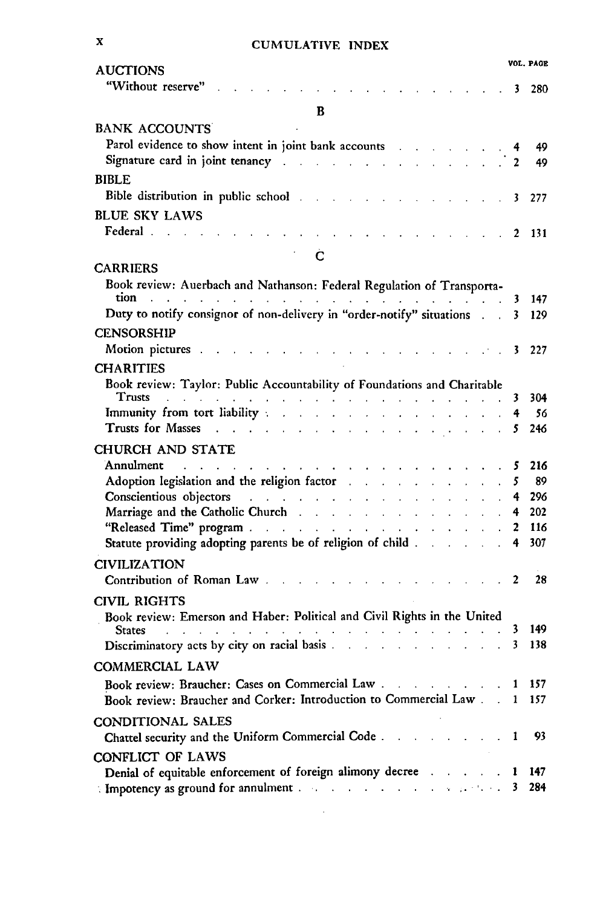| <b>CUMULATIVE INDEX</b> |  |
|-------------------------|--|
|-------------------------|--|

| л                                           | <b>CUMULATIVE INDEX</b>                                                                                                                                                                                                                                                                                                                                                                                                                                                                     |              |                    |
|---------------------------------------------|---------------------------------------------------------------------------------------------------------------------------------------------------------------------------------------------------------------------------------------------------------------------------------------------------------------------------------------------------------------------------------------------------------------------------------------------------------------------------------------------|--------------|--------------------|
| <b>AUCTIONS</b><br>"Without reserve"        | $\sim$ $\sim$ 3<br>$\mathbf{L} = \mathbf{L} \times \mathbf{L}$                                                                                                                                                                                                                                                                                                                                                                                                                              |              | VOL. PAGE<br>- 280 |
|                                             |                                                                                                                                                                                                                                                                                                                                                                                                                                                                                             |              |                    |
|                                             | B                                                                                                                                                                                                                                                                                                                                                                                                                                                                                           |              |                    |
| <b>BANK ACCOUNTS</b>                        |                                                                                                                                                                                                                                                                                                                                                                                                                                                                                             |              |                    |
|                                             | Parol evidence to show intent in joint bank accounts                                                                                                                                                                                                                                                                                                                                                                                                                                        |              | 49                 |
|                                             | Signature card in joint tenancy and the series of the series of the series of 2                                                                                                                                                                                                                                                                                                                                                                                                             |              | 49                 |
| <b>BIBLE</b>                                |                                                                                                                                                                                                                                                                                                                                                                                                                                                                                             |              |                    |
|                                             | Bible distribution in public school and the contract of the state of the state of the state of the state of the state of the state of the state of the state of the state of the state of the state of the state of the state                                                                                                                                                                                                                                                               | 3            | 277                |
| <b>BLUE SKY LAWS</b>                        |                                                                                                                                                                                                                                                                                                                                                                                                                                                                                             |              |                    |
| Federal                                     | and the contract of                                                                                                                                                                                                                                                                                                                                                                                                                                                                         |              | - 131              |
|                                             | Ċ                                                                                                                                                                                                                                                                                                                                                                                                                                                                                           |              |                    |
| <b>CARRIERS</b>                             |                                                                                                                                                                                                                                                                                                                                                                                                                                                                                             |              |                    |
|                                             | Book review: Auerbach and Nathanson: Federal Regulation of Transporta-                                                                                                                                                                                                                                                                                                                                                                                                                      |              |                    |
|                                             | tion <i>and a contract of the contract of the contract of the contract</i> of the contract of the contract of the contract of the contract of the contract of the contract of the contract of the contract of the contract of the c                                                                                                                                                                                                                                                         | 3            | 147                |
|                                             | Duty to notify consignor of non-delivery in "order-notify" situations                                                                                                                                                                                                                                                                                                                                                                                                                       | 3.           | 129                |
| <b>CENSORSHIP</b>                           |                                                                                                                                                                                                                                                                                                                                                                                                                                                                                             |              |                    |
| Motion pictures                             | $\ldots$ . The set of $\ldots$ is the set of $\mathbf 3$<br>and a strategic and                                                                                                                                                                                                                                                                                                                                                                                                             |              | 227                |
| <b>CHARITIES</b>                            |                                                                                                                                                                                                                                                                                                                                                                                                                                                                                             |              |                    |
|                                             | Book review: Taylor: Public Accountability of Foundations and Charitable                                                                                                                                                                                                                                                                                                                                                                                                                    |              |                    |
|                                             | Trusts and a contract of the contract of the contract of the contract of the contract of the contract of the contract of the contract of the contract of the contract of the contract of the contract of the contract of the c                                                                                                                                                                                                                                                              | 3            | 304                |
|                                             | Immunity from tort liability and a subset of the state of the state of the state of the state of the state of                                                                                                                                                                                                                                                                                                                                                                               | 4            | - 56               |
|                                             | Trusts for Masses and a contract the contract of the masses of the contract of the contract of the contract of                                                                                                                                                                                                                                                                                                                                                                              | 5.           | 246                |
| <b>CHURCH AND STATE</b>                     |                                                                                                                                                                                                                                                                                                                                                                                                                                                                                             |              |                    |
| Annulment<br>and the company of the company | and a straight and a straight<br>$\mathbf{1} \qquad \mathbf{1} \qquad \mathbf{1} \qquad \mathbf{1} \qquad \mathbf{1} \qquad \mathbf{1} \qquad \mathbf{1} \qquad \mathbf{1} \qquad \mathbf{1} \qquad \mathbf{1} \qquad \mathbf{1} \qquad \mathbf{1} \qquad \mathbf{1} \qquad \mathbf{1} \qquad \mathbf{1} \qquad \mathbf{1} \qquad \mathbf{1} \qquad \mathbf{1} \qquad \mathbf{1} \qquad \mathbf{1} \qquad \mathbf{1} \qquad \mathbf{1} \qquad \mathbf{1} \qquad \mathbf{1} \qquad \mathbf{$ | 5            | 216                |
|                                             | Adoption legislation and the religion factor and the religion factor and the set of the state of the state of                                                                                                                                                                                                                                                                                                                                                                               | 5            | 89                 |
|                                             | Conscientious objectors and a constant of the construction of the construction of the construction of the construction of the construction of the construction of the construction of the construction of the construction of<br>Marriage and the Catholic Church                                                                                                                                                                                                                           | 4.           | 296<br>202         |
|                                             | "Released Time" program                                                                                                                                                                                                                                                                                                                                                                                                                                                                     | 4<br>2       | 116                |
|                                             | Statute providing adopting parents be of religion of child                                                                                                                                                                                                                                                                                                                                                                                                                                  | 4            | 307                |
|                                             |                                                                                                                                                                                                                                                                                                                                                                                                                                                                                             |              |                    |
| <b>CIVILIZATION</b>                         | Contribution of Roman Law                                                                                                                                                                                                                                                                                                                                                                                                                                                                   |              |                    |
|                                             | $\ldots$ 2                                                                                                                                                                                                                                                                                                                                                                                                                                                                                  |              | 28                 |
| <b>CIVIL RIGHTS</b>                         |                                                                                                                                                                                                                                                                                                                                                                                                                                                                                             |              |                    |
|                                             | Book review: Emerson and Haber: Political and Civil Rights in the United<br>المنافر والمنافر والمتأمر والمنافر والمراقب والمنافر والمراقب                                                                                                                                                                                                                                                                                                                                                   | 3            | 149                |
| <b>States</b><br><b>Carl Carl Carl</b>      | Discriminatory acts by city on racial basis                                                                                                                                                                                                                                                                                                                                                                                                                                                 | 3            | 138                |
|                                             |                                                                                                                                                                                                                                                                                                                                                                                                                                                                                             |              |                    |
| COMMERCIAL LAW                              |                                                                                                                                                                                                                                                                                                                                                                                                                                                                                             |              |                    |
|                                             |                                                                                                                                                                                                                                                                                                                                                                                                                                                                                             | 1            | 157                |
|                                             | Book review: Braucher and Corker: Introduction to Commercial Law                                                                                                                                                                                                                                                                                                                                                                                                                            | $\mathbf{1}$ | 157                |
| CONDITIONAL SALES                           |                                                                                                                                                                                                                                                                                                                                                                                                                                                                                             |              |                    |
|                                             | Chattel security and the Uniform Commercial Code                                                                                                                                                                                                                                                                                                                                                                                                                                            | 1            | 93                 |
| <b>CONFLICT OF LAWS</b>                     |                                                                                                                                                                                                                                                                                                                                                                                                                                                                                             |              |                    |
|                                             | Denial of equitable enforcement of foreign alimony decree                                                                                                                                                                                                                                                                                                                                                                                                                                   | 1            | 147                |

Impotency as ground for annulment **..** .......... .. ... . 3 284 $\ddot{\phantom{0}}$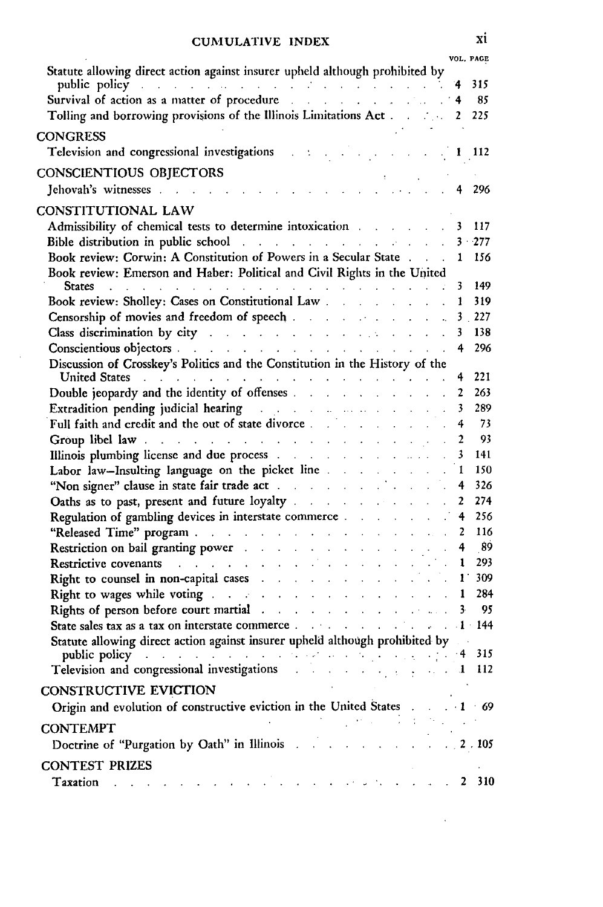| Statute allowing direct action against insurer upheld although prohibited by                                                                                                                                                                                                                                 |                          | VOL. PAGE      |
|--------------------------------------------------------------------------------------------------------------------------------------------------------------------------------------------------------------------------------------------------------------------------------------------------------------|--------------------------|----------------|
|                                                                                                                                                                                                                                                                                                              |                          | 315            |
| public policy<br>Survival of action as a matter of procedure                                                                                                                                                                                                                                                 |                          | 85             |
| Tolling and borrowing provisions of the Illinois Limitations Act and the matter of                                                                                                                                                                                                                           | $\mathbf{2}$             | 225            |
| <b>CONGRESS</b>                                                                                                                                                                                                                                                                                              |                          |                |
| Television and congressional investigations . :                                                                                                                                                                                                                                                              |                          | 1 112          |
|                                                                                                                                                                                                                                                                                                              |                          |                |
| CONSCIENTIOUS OBJECTORS<br>UINOULEIN I IUUS UDJEUTUKS<br>Jehovah's witnesses                                                                                                                                                                                                                                 |                          |                |
|                                                                                                                                                                                                                                                                                                              | 4                        | 296            |
| <b>CONSTITUTIONAL LAW</b>                                                                                                                                                                                                                                                                                    |                          |                |
| Admissibility of chemical tests to determine intoxication and a series of the state of the state of the state of the state of the state of the state of the state of the state of the state of the state of the state of the s                                                                               | 3                        | 117            |
| Bible distribution in public school and the contract of the state of the state of the state of the state of the state of the state of the state of the state of the state of the state of the state of the state of the state                                                                                |                          | $3 - 277$      |
| Book review: Corwin: A Constitution of Powers in a Secular State                                                                                                                                                                                                                                             | $\mathbf{1}$             | 156            |
| Book review: Emerson and Haber: Political and Civil Rights in the United                                                                                                                                                                                                                                     |                          |                |
| States representative and the set of the state of the state of the state of the state of the state of the state of the state of the state of the state of the state of the state of the state of the state of the state of the                                                                               | 3                        | 149            |
| Book review: Sholley: Cases on Constitutional Law                                                                                                                                                                                                                                                            | 1                        | 319            |
|                                                                                                                                                                                                                                                                                                              |                          | 3 227          |
| Class discrimination by city and a series of the contract of the contract of the contract of the contract of the contract of the contract of the contract of the contract of the contract of the contract of the contract of t                                                                               | 3.                       | 138            |
|                                                                                                                                                                                                                                                                                                              | 4                        | 296            |
| Discussion of Crosskey's Politics and the Constitution in the History of the                                                                                                                                                                                                                                 |                          | 221            |
| United States and a subsequence of the contract of the state of the state of the state of the state of the state of the state of the state of the state of the state of the state of the state of the state of the state of th<br>Double jeopardy and the identity of offenses                               | 4<br>$\mathbf{2}$        | 263            |
|                                                                                                                                                                                                                                                                                                              | $\overline{\mathbf{3}}$  | 289            |
| Extradition pending judicial hearing and the contract of the contract of the contract of<br>Full faith and credit and the out of state divorce                                                                                                                                                               |                          | 73             |
|                                                                                                                                                                                                                                                                                                              | 4                        | $-93$          |
| Group libel law contract the contract of the contract of the contract of the contract of the contract of the contract of the contract of the contract of the contract of the contract of the contract of the contract of the c                                                                               | $\overline{2}$           |                |
|                                                                                                                                                                                                                                                                                                              |                          | 141            |
| Labor law-Insulting language on the picket line                                                                                                                                                                                                                                                              | 1                        | 150            |
| "Non signer" clause in state fair trade act.                                                                                                                                                                                                                                                                 |                          | 326            |
| Oaths as to past, present and future loyalty and the service of the service of the service of the service of the service of the service of the service of the service of the service of the service of the service of the serv                                                                               | $\mathbf{2}$             | 274            |
| Regulation of gambling devices in interstate commerce.                                                                                                                                                                                                                                                       | 4                        | 256            |
|                                                                                                                                                                                                                                                                                                              | 2                        | 116            |
| Restriction on bail granting power and a series of the series of the series of the series of the series of the                                                                                                                                                                                               | 4<br>$\mathcal{L}^{\pm}$ | - 89           |
| Restrictive covenants                                                                                                                                                                                                                                                                                        | 1                        | 293            |
| Right to counsel in non-capital cases                                                                                                                                                                                                                                                                        | $1^+$                    | 309            |
| Right to wages while voting and the service of the service of the service of the service of the service of the                                                                                                                                                                                               | $\mathbf{1}$             | 284            |
| Rights of person before court martial and the contract of the contract of the contract of the contract of the contract of the contract of the contract of the contract of the contract of the contract of the contract of the                                                                                | 3                        | 95             |
| State sales tax as a tax on interstate commerce.                                                                                                                                                                                                                                                             |                          |                |
| Statute allowing direct action against insurer upheld although prohibited by                                                                                                                                                                                                                                 |                          |                |
| public policy and a set of the set of the set of $\mathbb{R}$ is a set of $\mathbb{R}$ in the set of $\mathbb{R}$ is a set of $\mathbb{R}$ in the set of $\mathbb{R}$ is a set of $\mathbb{R}$ in the set of $\mathbb{R}$ is a set of $\mathbb{R}$ is a set o<br>Television and congressional investigations |                          |                |
| $\mathbf{r}^{\text{max}}$                                                                                                                                                                                                                                                                                    |                          | $\ldots$ 1 112 |
| CONSTRUCTIVE EVICTION                                                                                                                                                                                                                                                                                        |                          |                |
| Origin and evolution of constructive eviction in the United States . 1 69                                                                                                                                                                                                                                    |                          |                |
| <b>CONTEMPT</b>                                                                                                                                                                                                                                                                                              |                          |                |
| Doctrine of "Purgation by Oath" in Illinois and a series of the contract of 2.105                                                                                                                                                                                                                            |                          |                |
|                                                                                                                                                                                                                                                                                                              |                          |                |
| <b>CONTEST PRIZES</b>                                                                                                                                                                                                                                                                                        |                          |                |
| Taxation and a construction of the construction of the following and                                                                                                                                                                                                                                         |                          | 2 310          |

÷,

xi

÷,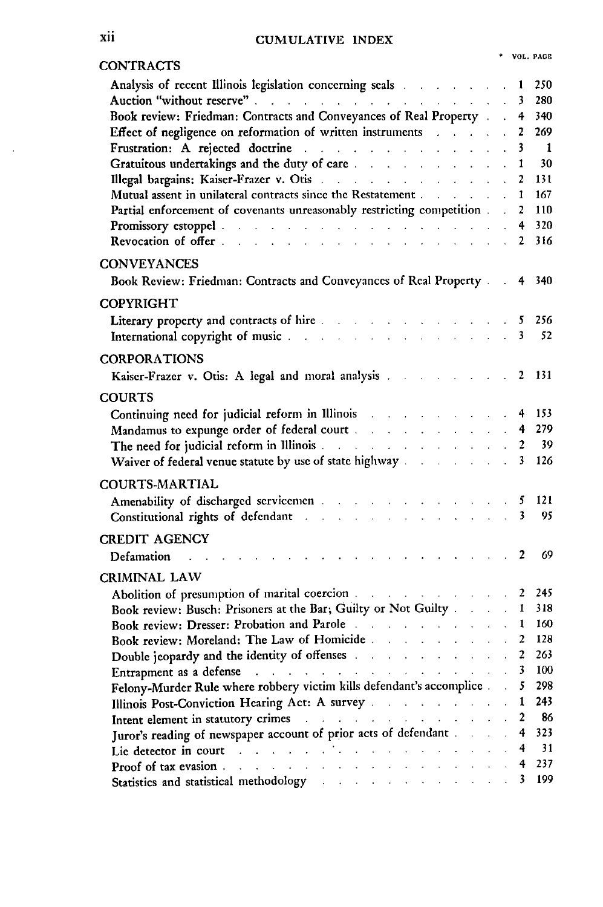### **Xli CUMULATIVE INDEX**

| ۰ | VOL. PAGE |
|---|-----------|
|   |           |

| <b>CONTRACTS</b>                                                                                                                                                                                                                            |                          |                             |                         |                |
|---------------------------------------------------------------------------------------------------------------------------------------------------------------------------------------------------------------------------------------------|--------------------------|-----------------------------|-------------------------|----------------|
| Analysis of recent Illinois legislation concerning seals and a second section of the seals                                                                                                                                                  |                          |                             | 1                       | 250            |
| Auction "without reserve"                                                                                                                                                                                                                   |                          | $\ddot{\phantom{a}}$        | 3                       | 280            |
| Book review: Friedman: Contracts and Conveyances of Real Property .                                                                                                                                                                         |                          |                             | 4                       | 340            |
| Effect of negligence on reformation of written instruments and all contacts                                                                                                                                                                 |                          | $\ddot{\phantom{a}}$        | $\overline{2}$          | 269            |
| Frustration: A rejected doctrine                                                                                                                                                                                                            |                          | $\mathcal{L}$               | 3                       | $\overline{1}$ |
| Gratuitous undertakings and the duty of care and the state of the state of the state of the state of the state of the state of the state of the state of the state of the state of the state of the state of the state of the               |                          |                             | 1                       | 30             |
|                                                                                                                                                                                                                                             |                          | $\mathbf{r}$                | $\overline{2}$          | 131            |
| Mutual assent in unilateral contracts since the Restatement                                                                                                                                                                                 |                          |                             | 1                       | 167            |
| Partial enforcement of covenants unreasonably restricting competition.                                                                                                                                                                      |                          | $\ddot{\phantom{a}}$        | $\overline{2}$          | 110            |
| Promissory estoppel<br>Revocation of offer                                                                                                                                                                                                  |                          |                             | 4                       | 320            |
|                                                                                                                                                                                                                                             |                          |                             | 2                       | 316            |
| <b>CONVEYANCES</b>                                                                                                                                                                                                                          |                          |                             |                         |                |
| Book Review: Friedman: Contracts and Conveyances of Real Property.                                                                                                                                                                          |                          | $\ddot{\phantom{a}}$        | 4                       | 340            |
| <b>COPYRIGHT</b>                                                                                                                                                                                                                            |                          |                             |                         |                |
| Literary property and contracts of hire<br>$\ldots$ 5                                                                                                                                                                                       |                          |                             |                         | 256            |
| International copyright of music and a state of the state of the state of the state of the state of the state of                                                                                                                            |                          |                             | $\overline{\mathbf{3}}$ | 52             |
|                                                                                                                                                                                                                                             |                          |                             |                         |                |
| <b>CORPORATIONS</b>                                                                                                                                                                                                                         |                          |                             |                         |                |
| Kaiser-Frazer v. Otis: A legal and moral analysis and all and the contract of the state of the state of the state of the state of the state of the state of the state of the state of the state of the state of the state of t              |                          |                             | $\mathbf{2}$            | 131            |
| <b>COURTS</b>                                                                                                                                                                                                                               |                          |                             |                         |                |
| Continuing need for judicial reform in Illinois and a settled as a settled of the settled of the set of the settled of the settled of the settled of the settled of the settled of the settled of the settled of the settled o<br>$\sim 10$ | <b>Contract Contract</b> |                             | 4                       | 153            |
|                                                                                                                                                                                                                                             |                          |                             | $\ddot{\mathbf{4}}$     | 279            |
| The need for judicial reform in Illinois                                                                                                                                                                                                    |                          | $\mathbf{L}$                | $\overline{2}$          | 39             |
| Waiver of federal venue statute by use of state highway                                                                                                                                                                                     |                          |                             | 3                       | 126            |
|                                                                                                                                                                                                                                             |                          |                             |                         |                |
| <b>COURTS-MARTIAL</b>                                                                                                                                                                                                                       |                          |                             |                         |                |
| Amenability of discharged servicemen and a state of the state of the state of the state of the state of the state of the state of the state of the state of the state of the state of the state of the state of the state of t              |                          |                             | 5                       | 121            |
| Constitutional rights of defendant and a series of the constitutional rights of defendant                                                                                                                                                   |                          |                             | 3                       | 95             |
| <b>CREDIT AGENCY</b>                                                                                                                                                                                                                        |                          |                             |                         |                |
| Defamation<br>the contract of the contract of the contract of the contract of the contract of                                                                                                                                               |                          |                             | 2                       | 69             |
| CRIMINAL LAW                                                                                                                                                                                                                                |                          |                             |                         |                |
| Abolition of presumption of marital coercion                                                                                                                                                                                                |                          |                             | $\overline{2}$          | 245            |
| Book review: Busch: Prisoners at the Bar; Guilty or Not Guilty                                                                                                                                                                              |                          |                             | 1                       | 318            |
| Book review: Dresser: Probation and Parole                                                                                                                                                                                                  |                          |                             | $\mathbf{1}$            | 160            |
| Book review: Moreland: The Law of Homicide                                                                                                                                                                                                  |                          | $\ddot{\phantom{a}}$        | $\boldsymbol{2}$        | 128            |
| Double jeopardy and the identity of offenses and the set of the set of the set of the set of the set of the set of the set of the set of the set of the set of the set of the set of the set of the set of the set of the set               |                          |                             | 2                       | 263            |
| Entrapment as a defense and the contract of the set of the set of the set of the set of the set of the set of the set of the set of the set of the set of the set of the set of the set of the set of the set of the set of th              |                          |                             | 3                       | 100            |
| Felony-Murder Rule where robbery victim kills defendant's accomplice                                                                                                                                                                        |                          |                             | 5                       | 298            |
| Illinois Post-Conviction Hearing Act: A survey                                                                                                                                                                                              |                          |                             | $\mathbf{1}$            | 243            |
|                                                                                                                                                                                                                                             |                          | $\mathcal{L}^{\mathcal{L}}$ | $\overline{2}$          | -86            |
| Intent element in statutory crimes and the contract of the contract of the contract of the contract of the contract of the contract of the contract of the contract of the contract of the contract of the contract of the con              |                          |                             | 4                       | 323            |
| Juror's reading of newspaper account of prior acts of defendant                                                                                                                                                                             |                          | L.                          | $\overline{4}$          | 31             |
| Lie detector in court and a subsequent of the state of the state of the state of the state of the state of the                                                                                                                              |                          |                             |                         | 237            |
|                                                                                                                                                                                                                                             |                          | $\mathcal{L}^{\mathcal{L}}$ | 4<br>3                  | 199            |
| Statistics and statistical methodology and statistical methodology                                                                                                                                                                          |                          |                             |                         |                |

 $\epsilon$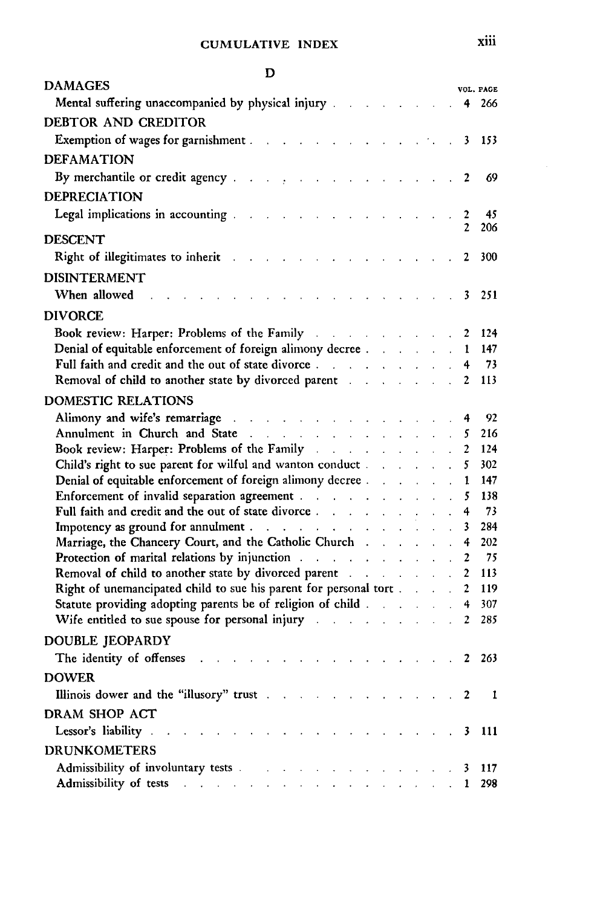| D                                                                                                                                                                                                                                                                                         |  |                   |                   |                    |
|-------------------------------------------------------------------------------------------------------------------------------------------------------------------------------------------------------------------------------------------------------------------------------------------|--|-------------------|-------------------|--------------------|
| <b>DAMAGES</b>                                                                                                                                                                                                                                                                            |  |                   |                   | VOL. PAGE          |
| Mental suffering unaccompanied by physical injury 4 266                                                                                                                                                                                                                                   |  |                   |                   |                    |
| DEBTOR AND CREDITOR                                                                                                                                                                                                                                                                       |  |                   |                   |                    |
| <b>Exemption of wages for garnishment</b> 3 153                                                                                                                                                                                                                                           |  |                   |                   |                    |
| <b>DEFAMATION</b>                                                                                                                                                                                                                                                                         |  |                   |                   |                    |
| By merchantile or credit agency and the state of the state of the state of the 2                                                                                                                                                                                                          |  |                   |                   | 69                 |
| DEPRECIATION                                                                                                                                                                                                                                                                              |  |                   |                   |                    |
| Legal implications in accounting the contract of the contract of the contract of the contract of the contract of the contract of the contract of the contract of the contract of the contract of the contract of the contract                                                             |  |                   | $\overline{2}$    | 45                 |
|                                                                                                                                                                                                                                                                                           |  |                   | 2                 | 206                |
| <b>DESCENT</b>                                                                                                                                                                                                                                                                            |  |                   |                   |                    |
| Right of illegitimates to inherit and a subset of the state of the state of the state of the state of the state of the state of the state of the state of the state of the state of the state of the state of the state of the                                                            |  |                   | $\mathbf{2}$      | 300                |
| <b>DISINTERMENT</b>                                                                                                                                                                                                                                                                       |  |                   |                   |                    |
| When allowed<br>and the contract of the contract of the contract of the contract of the contract of the contract of the contract of the contract of the contract of the contract of the contract of the contract of the contract of the contra<br>and the contract of the contract of the |  |                   | 3                 | - 251              |
| <b>DIVORCE</b>                                                                                                                                                                                                                                                                            |  |                   |                   |                    |
| <b>Book review: Harper: Problems of the Family</b>                                                                                                                                                                                                                                        |  |                   |                   | 124                |
| Denial of equitable enforcement of foreign alimony decree 1                                                                                                                                                                                                                               |  |                   |                   | 147                |
|                                                                                                                                                                                                                                                                                           |  |                   |                   | 73                 |
| Removal of child to another state by divorced parent and a substitution of child to another state by divorced parent                                                                                                                                                                      |  |                   | $\mathbf{2}$      | 113                |
| <b>DOMESTIC RELATIONS</b>                                                                                                                                                                                                                                                                 |  |                   |                   |                    |
|                                                                                                                                                                                                                                                                                           |  |                   |                   | 92                 |
|                                                                                                                                                                                                                                                                                           |  |                   |                   | 216                |
| Book review: Harper: Problems of the Family and a substitution of the Family                                                                                                                                                                                                              |  |                   | $\overline{2}$    | 124                |
| Child's right to sue parent for wilful and wanton conduct                                                                                                                                                                                                                                 |  |                   | 5.                | 302                |
| Denial of equitable enforcement of foreign alimony decree and all all the control of equitable enforcement of foreign alimony decree and all the control of the control of the control of the control of the control of the co                                                            |  |                   | 1                 | 147                |
| Enforcement of invalid separation agreement                                                                                                                                                                                                                                               |  | $\Delta \sim 100$ | 5                 | 138                |
| Full faith and credit and the out of state divorce.                                                                                                                                                                                                                                       |  |                   | 4                 | 73                 |
|                                                                                                                                                                                                                                                                                           |  |                   | 3                 | 284                |
|                                                                                                                                                                                                                                                                                           |  |                   |                   | 202                |
| Removal of child to another state by divorced parent and a substitution of child to another state by divorced parent and a substitution of the state of the state of the state of the state of the state of the state of the s                                                            |  |                   | $\mathbf{2}$<br>2 | 75<br>113          |
| Right of unemancipated child to sue his parent for personal tort                                                                                                                                                                                                                          |  |                   | $\overline{2}$    | 119                |
| Statute providing adopting parents be of religion of child and all contact the statute providing adopting parents be of religion of child                                                                                                                                                 |  |                   | 4                 | 307                |
| Wife entitled to sue spouse for personal injury and a subset of the set of the set of the set of the set of the set of the set of the set of the set of the set of the set of the set of the set of the set of the set of the                                                             |  |                   | $\overline{2}$    | 285                |
|                                                                                                                                                                                                                                                                                           |  |                   |                   |                    |
| DOUBLE JEOPARDY                                                                                                                                                                                                                                                                           |  |                   |                   |                    |
| The identity of offenses results in the set of the set of the set of the set of the set of the set of the set of the set of the set of the set of the set of the set of the set of the set of the set of the set of the set of                                                            |  |                   |                   | $\therefore$ 2 263 |
| <b>DOWER</b>                                                                                                                                                                                                                                                                              |  |                   |                   |                    |
|                                                                                                                                                                                                                                                                                           |  |                   |                   | 1                  |
| DRAM SHOP ACT                                                                                                                                                                                                                                                                             |  |                   |                   |                    |
| Lessor's liability<br>and a series of the contract and a series<br>. 3 111                                                                                                                                                                                                                |  |                   |                   |                    |
| <b>DRUNKOMETERS</b>                                                                                                                                                                                                                                                                       |  |                   |                   |                    |
| Admissibility of involuntary tests 3 117                                                                                                                                                                                                                                                  |  |                   |                   |                    |
| Admissibility of tests and a contract of the contract of the contract of the contract of the contract of the contract of the contract of the contract of the contract of the contract of the contract of the contract of the c                                                            |  |                   |                   |                    |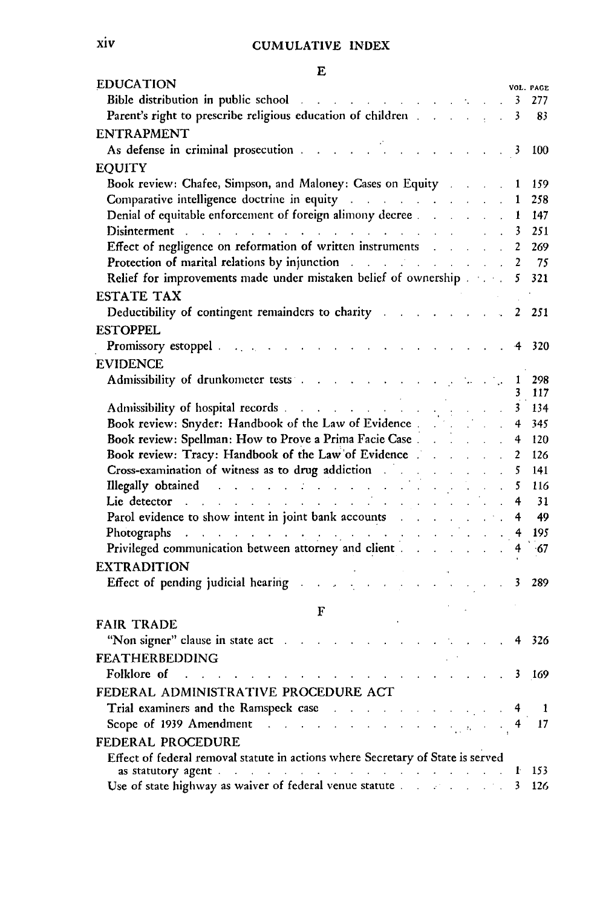| <b>EDUCATION</b>                                                                                                                                                                                                                                                                          |                                  |                |                                             |                                                    |                                  | VOL. PAGE  |
|-------------------------------------------------------------------------------------------------------------------------------------------------------------------------------------------------------------------------------------------------------------------------------------------|----------------------------------|----------------|---------------------------------------------|----------------------------------------------------|----------------------------------|------------|
| Bible distribution in public school and a series of the series of the series of the series of the series of the                                                                                                                                                                           |                                  |                |                                             |                                                    | 3                                | 277        |
|                                                                                                                                                                                                                                                                                           |                                  |                |                                             |                                                    | 3                                | 83         |
| <b>ENTRAPMENT</b>                                                                                                                                                                                                                                                                         |                                  |                |                                             |                                                    |                                  |            |
| As defense in criminal prosecution and a series of the set of the set of the set of the set of the set of the<br>$1 - 1 - 1 = 1$                                                                                                                                                          |                                  |                |                                             |                                                    | - 3                              | 100        |
| <b>EQUITY</b>                                                                                                                                                                                                                                                                             |                                  |                |                                             |                                                    |                                  |            |
| Book review: Chafee, Simpson, and Maloney: Cases on Equity                                                                                                                                                                                                                                |                                  |                |                                             |                                                    | 1                                | 159        |
| Comparative intelligence doctrine in equity and a substitution of the contract of                                                                                                                                                                                                         |                                  |                |                                             |                                                    | $\mathbf{1}$                     | 258        |
| Denial of equitable enforcement of foreign alimony decree                                                                                                                                                                                                                                 |                                  |                |                                             |                                                    | $\mathcal{L}^{\mathcal{L}}$<br>1 | 147        |
| Disinterment and a contract of the contract of the contract of the contract of the contract of the contract of                                                                                                                                                                            |                                  |                |                                             |                                                    | 3                                | 251        |
| Effect of negligence on reformation of written instruments and the state of negligence on reformation of written instruments                                                                                                                                                              |                                  |                |                                             | <b>Carl Carl</b>                                   | $\overline{c}$                   | 269        |
| Protection of marital relations by injunction and a set of the set of the set of the set of the set of the set of the set of the set of the set of the set of the set of the set of the set of the set of the set of the set o                                                            |                                  |                |                                             |                                                    | $\overline{2}$                   | 75         |
| Relief for improvements made under mistaken belief of ownership 5                                                                                                                                                                                                                         |                                  |                |                                             |                                                    |                                  | 321        |
| <b>ESTATE TAX</b>                                                                                                                                                                                                                                                                         |                                  |                |                                             |                                                    |                                  |            |
| Deductibility of contingent remainders to charity and a substitution of the state of the state of the state of                                                                                                                                                                            |                                  |                |                                             |                                                    | $\mathbf{2}$                     | 251        |
| <b>ESTOPPEL</b>                                                                                                                                                                                                                                                                           |                                  |                |                                             |                                                    |                                  |            |
|                                                                                                                                                                                                                                                                                           |                                  |                |                                             |                                                    |                                  | 320        |
| Promissory estoppel and the set<br>$\mathbf{r} = \mathbf{r} - \mathbf{r} = \mathbf{r} - \mathbf{r} = \mathbf{r}$                                                                                                                                                                          |                                  |                |                                             |                                                    |                                  |            |
| <b>EVIDENCE</b>                                                                                                                                                                                                                                                                           |                                  |                |                                             |                                                    |                                  |            |
| Admissibility of drunkometer tests and a contract of the state of the state of the state of the state of the state of the state of the state of the state of the state of the state of the state of the state of the state of                                                             |                                  |                |                                             |                                                    | 1                                | 298<br>117 |
|                                                                                                                                                                                                                                                                                           |                                  |                |                                             |                                                    | $\overline{\mathbf{3}}$          | 134        |
| Book review: Snyder: Handbook of the Law of Evidence                                                                                                                                                                                                                                      | $\frac{1}{2}$ .                  |                |                                             |                                                    | 4                                | 345        |
| Book review: Spellman: How to Prove a Prima Facie Case.                                                                                                                                                                                                                                   | $\mathcal{L}^{\text{max}}$       |                |                                             | $\ddot{\phantom{a}}$                               | 4                                | 120        |
| Book review: Tracy: Handbook of the Law of Evidence.                                                                                                                                                                                                                                      |                                  |                |                                             |                                                    | 2                                | 126        |
| Book review. They: The Theory of the drug addiction                                                                                                                                                                                                                                       | t,<br>$\mathcal{L}^{\text{max}}$ | $\mathbb{Z}^2$ |                                             | $\mathcal{L}^{\text{max}}$<br>$\ddot{\phantom{a}}$ | 5                                | 141        |
| Illegally obtained and a series of the series of the series of the series of the series of the series of the series of the series of the series of the series of the series of the series of the series of the series of the s                                                            |                                  |                |                                             |                                                    | 5                                | 116        |
| Lie detector and a construction of the construction of the construction                                                                                                                                                                                                                   |                                  |                |                                             | $\ddot{\phantom{a}}$                               | 4                                | 31         |
| Parol evidence to show intent in joint bank accounts                                                                                                                                                                                                                                      |                                  |                | $\mathcal{L}^{\text{max}}$                  |                                                    | $\therefore$ 4                   | 49         |
| Photographs and a series of the contract of the contract of the contract of the contract of the contract of the contract of the contract of the contract of the contract of the contract of the contract of the contract of th                                                            | цŤ.                              |                | $\mathbf{r} = \mathbf{r} \times \mathbf{r}$ |                                                    | $\overline{4}$                   | 195        |
| Privileged communication between attorney and client                                                                                                                                                                                                                                      |                                  |                | $\mathbf{r} = \mathbf{r} \mathbf{r}$ .      | V.                                                 |                                  | $-67$      |
|                                                                                                                                                                                                                                                                                           |                                  |                |                                             |                                                    |                                  |            |
| <b>EXTRADITION</b>                                                                                                                                                                                                                                                                        |                                  |                |                                             |                                                    |                                  |            |
| Effect of pending judicial hearing and the state of pending<br>$\mathbf{r} = \mathbf{r} \times \mathbf{r}$                                                                                                                                                                                |                                  |                |                                             |                                                    | $\mathbf{3}$                     | 289        |
| F                                                                                                                                                                                                                                                                                         |                                  |                |                                             |                                                    |                                  |            |
| <b>FAIR TRADE</b>                                                                                                                                                                                                                                                                         |                                  |                |                                             |                                                    |                                  |            |
| "Non signer" clause in state act and the state of the state of the state of the state of the state of the state of the state of the state of the state of the state of the state of the state of the state of the state of the                                                            |                                  |                |                                             |                                                    | 4                                | 326        |
| <b>FEATHERBEDDING</b>                                                                                                                                                                                                                                                                     |                                  |                |                                             |                                                    |                                  |            |
| Folklore of<br>and a series of the companion of the<br>$\mathcal{L} = \mathcal{L} \times \mathcal{L} = \mathcal{L}$                                                                                                                                                                       |                                  |                |                                             |                                                    | 3                                | 169        |
|                                                                                                                                                                                                                                                                                           |                                  |                |                                             |                                                    |                                  |            |
| FEDERAL ADMINISTRATIVE PROCEDURE ACT                                                                                                                                                                                                                                                      |                                  |                |                                             |                                                    |                                  |            |
| Trial examiners and the Ramspeck case and the example of the Ramspeck case and the state of the state of the state of the state of the state of the state of the state of the state of the state of the state of the state of                                                             |                                  |                |                                             |                                                    | 4                                | 1          |
| Scope of 1939 Amendment and a subsequent of the state of the state of the state of the state of the state of the state of the state of the state of the state of the state of the state of the state of the state of the state                                                            |                                  |                |                                             |                                                    |                                  | 17         |
| FEDERAL PROCEDURE                                                                                                                                                                                                                                                                         |                                  |                |                                             |                                                    |                                  |            |
| Effect of federal removal statute in actions where Secretary of State is served                                                                                                                                                                                                           |                                  |                |                                             |                                                    |                                  |            |
| as statutory agent and the contract of the contract of the contract of the contract of the contract of the contract of the contract of the contract of the contract of the contract of the contract of the contract of the con<br>Use of state highway as waiver of federal venue statute |                                  |                |                                             | $\mathcal{L} = \mathcal{L} \times \mathcal{L}$     | $\mathbf{r}$<br>3                | 153<br>126 |
|                                                                                                                                                                                                                                                                                           |                                  |                |                                             |                                                    |                                  |            |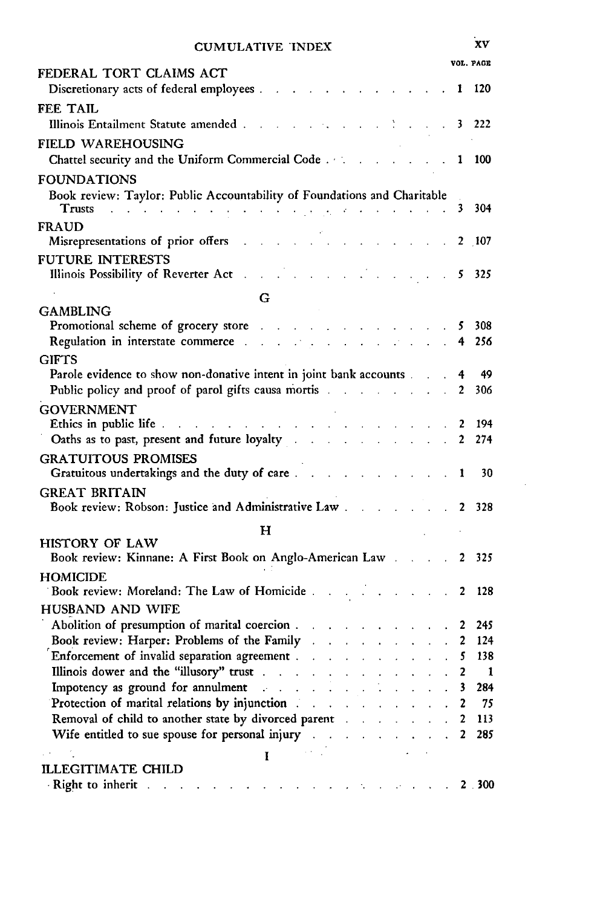| <b>CUMULATIVE INDEX</b> |  |
|-------------------------|--|
|-------------------------|--|

|                                                                                                                                                                                                                                                                                                                                                |                             |                            | VOL. PAGE                     |
|------------------------------------------------------------------------------------------------------------------------------------------------------------------------------------------------------------------------------------------------------------------------------------------------------------------------------------------------|-----------------------------|----------------------------|-------------------------------|
| FEDERAL TORT CLAIMS ACT<br>Discretionary acts of federal employees.                                                                                                                                                                                                                                                                            |                             | 1                          | 120                           |
| FEE TAIL                                                                                                                                                                                                                                                                                                                                       |                             |                            |                               |
|                                                                                                                                                                                                                                                                                                                                                |                             |                            | 3 222                         |
| FIELD WAREHOUSING                                                                                                                                                                                                                                                                                                                              |                             |                            |                               |
|                                                                                                                                                                                                                                                                                                                                                |                             | 1                          | 100                           |
| <b>FOUNDATIONS</b>                                                                                                                                                                                                                                                                                                                             |                             |                            |                               |
| Book review: Taylor: Public Accountability of Foundations and Charitable                                                                                                                                                                                                                                                                       |                             |                            |                               |
| والمتعاونة والمتعارف فالرواقي في فالتي تعارف والتوارد والتي والتي تعارف المناسب<br>Trusts                                                                                                                                                                                                                                                      |                             | 3                          | 304                           |
| <b>FRAUD</b>                                                                                                                                                                                                                                                                                                                                   |                             |                            |                               |
| Misrepresentations of prior offers<br>$\sim 10^{11}$ km s $^{-1}$<br><b>Contractor</b>                                                                                                                                                                                                                                                         |                             |                            | $2 - 107$                     |
| <b>FUTURE INTERESTS</b>                                                                                                                                                                                                                                                                                                                        |                             |                            |                               |
| Illinois Possibility of Reverter Act                                                                                                                                                                                                                                                                                                           |                             | 5                          | 325                           |
| G                                                                                                                                                                                                                                                                                                                                              |                             |                            |                               |
| <b>GAMBLING</b>                                                                                                                                                                                                                                                                                                                                |                             |                            |                               |
| Promotional scheme of grocery store                                                                                                                                                                                                                                                                                                            |                             | 5.                         | 308                           |
| Regulation in interstate commerce and a set<br>$\mathcal{L}^{\text{max}}$ and $\mathcal{L}^{\text{max}}$                                                                                                                                                                                                                                       |                             | 4                          | 256                           |
| <b>GIFTS</b><br>Parole evidence to show non-donative intent in joint bank accounts.                                                                                                                                                                                                                                                            |                             |                            | 49                            |
| Public policy and proof of parol gifts causa mortis and a control of the policy and proof of parol gifts causa mortis                                                                                                                                                                                                                          |                             | 4<br>2                     | 306                           |
| <b>GOVERNMENT</b>                                                                                                                                                                                                                                                                                                                              |                             |                            |                               |
| Ethics in public life.<br>$\mathcal{A}$ . The second contribution of the second contribution<br>$\mathcal{L}^{\text{max}}$                                                                                                                                                                                                                     |                             | 2                          | 194                           |
| Oaths as to past, present and future loyalty<br>$\ddot{\phantom{0}}$<br>$\mathcal{L}^{\text{max}}$<br>$\mathcal{L}^{\text{max}}$<br>$\mathcal{L}$                                                                                                                                                                                              |                             | 2                          | 274                           |
| <b>GRATUITOUS PROMISES</b>                                                                                                                                                                                                                                                                                                                     |                             |                            |                               |
| Gratuitous undertakings and the duty of care                                                                                                                                                                                                                                                                                                   |                             | 1                          | 30                            |
| <b>GREAT BRITAIN</b>                                                                                                                                                                                                                                                                                                                           |                             |                            |                               |
| Book review: Robson: Justice and Administrative Law                                                                                                                                                                                                                                                                                            |                             | $\overline{2}$             | 328                           |
| н                                                                                                                                                                                                                                                                                                                                              |                             |                            |                               |
| HISTORY OF LAW                                                                                                                                                                                                                                                                                                                                 |                             |                            |                               |
| Book review: Kinnane: A First Book on Anglo-American Law 2                                                                                                                                                                                                                                                                                     |                             |                            | 325                           |
| <b>HOMICIDE</b>                                                                                                                                                                                                                                                                                                                                |                             |                            |                               |
| Book review: Moreland: The Law of Homicide<br><b>Contract Contract</b>                                                                                                                                                                                                                                                                         |                             | 2<br>$\mathcal{L}^{\pm}$   | 128                           |
| HUSBAND AND WIFE                                                                                                                                                                                                                                                                                                                               |                             |                            |                               |
| Abolition of presumption of marital coercion<br>÷.                                                                                                                                                                                                                                                                                             |                             |                            | 245<br>2                      |
| Book review: Harper: Problems of the Family .<br>$\mathbf{L}$<br>$\ddot{\phantom{0}}$<br>$\mathbf{L}$<br>$\ddot{\phantom{a}}$<br>$\ddot{\phantom{a}}$<br>t.                                                                                                                                                                                    | $\mathcal{L}^{\mathcal{L}}$ |                            | 124<br>2                      |
| Enforcement of invalid separation agreement<br>$\mathbf{r}$<br>$\mathcal{L}$<br>$\ddot{\phantom{0}}$<br>$\ddot{\phantom{0}}$                                                                                                                                                                                                                   |                             |                            | 138<br>5                      |
| Illinois dower and the "illusory" trust<br>$\ddot{\phantom{a}}$<br>$\mathbf{r}$<br>$\ddot{\phantom{a}}$<br>Impotency as ground for annulment and a series of the series of the series of the series of the series of the series of the series of the series of the series of the series of the series of the series of the series of the<br>t, |                             |                            | 2<br>$\mathbf{1}$<br>284<br>3 |
| $\mathcal{L}^{\text{max}}$<br>$\mathcal{L}^{\text{max}}$<br>Protection of marital relations by injunction and a contract of the state of marital relations by injunction<br>$\mathcal{L}^{\text{max}}$<br>$\mathbf{r} = \mathbf{r} \times \mathbf{r}$                                                                                          | $\mathbf{A}^{\text{max}}$   | $\ddot{\phantom{0}}$<br>÷. | 75<br>2                       |
| Removal of child to another state by divorced parent<br>and the control                                                                                                                                                                                                                                                                        |                             | $\ddot{\phantom{0}}$       | 113<br>2                      |
| Wife entitled to sue spouse for personal injury and a subset of the set of the set of the set of the set of the set of the set of the set of the set of the set of the set of the set of the set of the set of the set of the                                                                                                                  |                             | $\ddot{\phantom{a}}$       | 285<br>2                      |
| Ţ                                                                                                                                                                                                                                                                                                                                              |                             |                            |                               |
| <b>ILLEGITIMATE CHILD</b>                                                                                                                                                                                                                                                                                                                      |                             |                            |                               |
| <b>Right to inherit</b> and a contract of the contract of the state of the contract of                                                                                                                                                                                                                                                         |                             |                            | 2.300                         |

 $\bar{\beta}$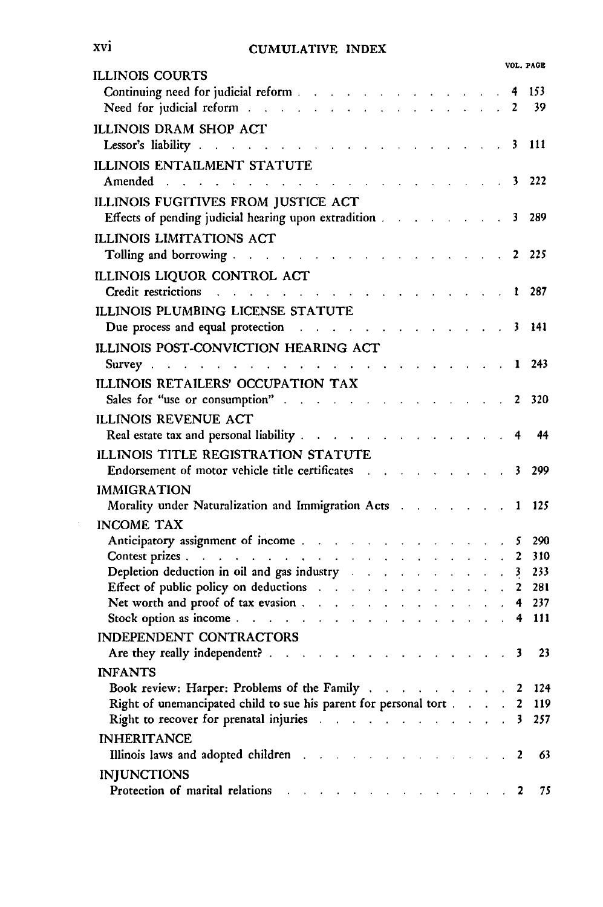|                                                                                                                                                                                                                                                                                                                                                                                                                                                                                               | VOL. PAGE            |
|-----------------------------------------------------------------------------------------------------------------------------------------------------------------------------------------------------------------------------------------------------------------------------------------------------------------------------------------------------------------------------------------------------------------------------------------------------------------------------------------------|----------------------|
| ILLINOIS COURTS<br>Continuing need for judicial reform and all the continuing need for judicial reformation<br>Need for judicial reform                                                                                                                                                                                                                                                                                                                                                       | 153<br>4<br>39<br>2  |
| ILLINOIS DRAM SHOP ACT<br>Lessor's liability                                                                                                                                                                                                                                                                                                                                                                                                                                                  | 111<br>3             |
| <b>ILLINOIS ENTAILMENT STATUTE</b><br>Amended<br>and a series of the series of the series of                                                                                                                                                                                                                                                                                                                                                                                                  | - 222<br>3.          |
| ILLINOIS FUGITIVES FROM JUSTICE ACT<br>Effects of pending judicial hearing upon extradition.<br>$\ddot{\phantom{a}}$                                                                                                                                                                                                                                                                                                                                                                          | 289<br>3             |
| <b>ILLINOIS LIMITATIONS ACT</b><br>Tolling and borrowing                                                                                                                                                                                                                                                                                                                                                                                                                                      | 2 2 2 5              |
| ILLINOIS LIQUOR CONTROL ACT<br>Credit restrictions                                                                                                                                                                                                                                                                                                                                                                                                                                            | 1 287                |
| ILLINOIS PLUMBING LICENSE STATUTE<br>Due process and equal protection and the contract of the state of the protection and the contract of the protection                                                                                                                                                                                                                                                                                                                                      | 141<br>3             |
| ILLINOIS POST-CONVICTION HEARING ACT                                                                                                                                                                                                                                                                                                                                                                                                                                                          | 243<br>1             |
| ILLINOIS RETAILERS' OCCUPATION TAX<br>Sales for "use or consumption"                                                                                                                                                                                                                                                                                                                                                                                                                          | 320<br>2             |
| <b>ILLINOIS REVENUE ACT</b><br>Real estate tax and personal liability                                                                                                                                                                                                                                                                                                                                                                                                                         | 44<br>4              |
| ILLINOIS TITLE REGISTRATION STATUTE<br>Endorsement of motor vehicle title certificates<br>$\sim$                                                                                                                                                                                                                                                                                                                                                                                              | 3<br>299             |
| <b>IMMIGRATION</b><br>Morality under Naturalization and Immigration Acts .                                                                                                                                                                                                                                                                                                                                                                                                                    | 125<br>1             |
| $\Delta \sim 10^4$<br>$\mathbf{r} = \mathbf{r}$<br><b>INCOME TAX</b>                                                                                                                                                                                                                                                                                                                                                                                                                          |                      |
| Anticipatory assignment of income<br>Contest prizes<br><b>Contract Contract</b><br>$\epsilon$                                                                                                                                                                                                                                                                                                                                                                                                 | 290<br>5<br>310<br>2 |
| Depletion deduction in oil and gas industry and all all the set of the set of the set of the set of the Departum of the Departum of the Departum of Departum of the Departum of Departum of Departum of Departum of Departum o<br>and a strain and a strain<br>Effect of public policy on deductions research and research and research of public policy on deductions research and research and research and research and research and research and research and research and research and r | 233<br>3<br>281<br>2 |
| Net worth and proof of tax evasion.<br>Stock option as income                                                                                                                                                                                                                                                                                                                                                                                                                                 | 237<br>4<br>111<br>4 |
| INDEPENDENT CONTRACTORS<br>Are they really independent?                                                                                                                                                                                                                                                                                                                                                                                                                                       | 23<br>3              |
| <b>INFANTS</b><br>Book review: Harper: Problems of the Family                                                                                                                                                                                                                                                                                                                                                                                                                                 | 2 124                |
| Right of unemancipated child to sue his parent for personal tort<br>Right to recover for prenatal injuries and a subset of the set of the set of the set of the set of the set of the set of the set of the set of the set of the set of the set of the set of the set of the set of the set of th                                                                                                                                                                                            | 119<br>2<br>3<br>257 |
| <b>INHERITANCE</b><br>Illinois laws and adopted children and according to the contract of the state of the state of the state of the                                                                                                                                                                                                                                                                                                                                                          | 63<br>2              |
| <b>INJUNCTIONS</b><br>Protection of marital relations                                                                                                                                                                                                                                                                                                                                                                                                                                         | 75<br>z              |

 $\sim$   $\sim$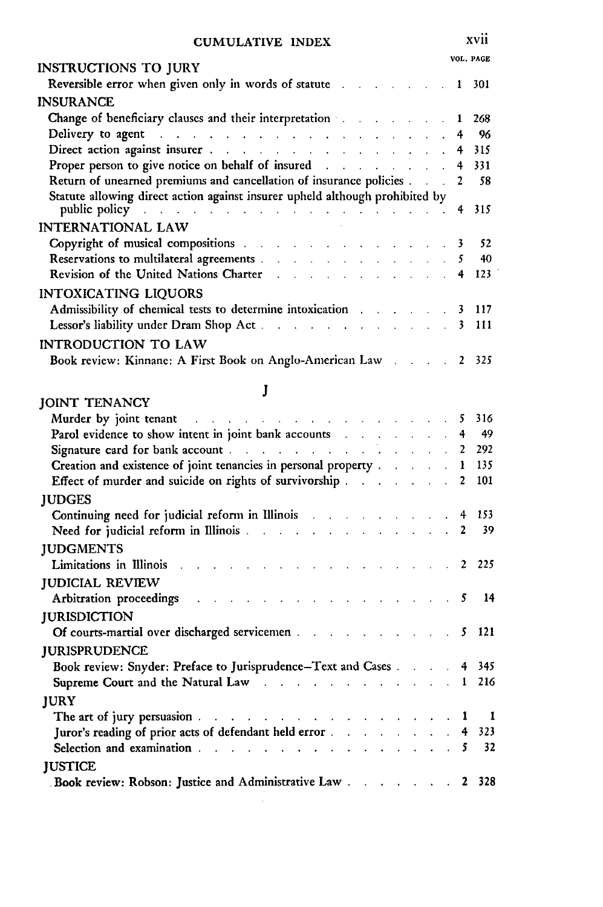| INSTRUCTIONS TO JURY                                                                                                                                                                                                                                                                                           | VOL. PAGE |
|----------------------------------------------------------------------------------------------------------------------------------------------------------------------------------------------------------------------------------------------------------------------------------------------------------------|-----------|
| Reversible error when given only in words of statute 1 301                                                                                                                                                                                                                                                     |           |
| <b>INSURANCE</b>                                                                                                                                                                                                                                                                                               |           |
| Change of beneficiary clauses and their interpretation and the state of the 1 268                                                                                                                                                                                                                              |           |
| Delivery to agent and a summary contract the contract of the set of the set of the set of the set of the set of the set of the set of the set of the set of the set of the set of the set of the set of the set of the set of                                                                                  |           |
|                                                                                                                                                                                                                                                                                                                |           |
| Proper person to give notice on behalf of insured and the contract of the 4 331                                                                                                                                                                                                                                |           |
| Return of unearned premiums and cancellation of insurance policies 2 58                                                                                                                                                                                                                                        |           |
| Statute allowing direct action against insurer upheld although prohibited by<br>public policy and a series of the contract of the contract of the series of the series of the series of the series of the series of the series of the series of the series of the series of the series of the series of the se |           |
| <b>INTERNATIONAL LAW</b>                                                                                                                                                                                                                                                                                       |           |
| Copyright of musical compositions and the contract of the contract of the contract of the contract of the contract of the contract of the contract of the contract of the contract of the contract of the contract of the cont                                                                                 |           |
| Reservations to multilateral agreements 5 40                                                                                                                                                                                                                                                                   |           |
| Revision of the United Nations Charter 4 123                                                                                                                                                                                                                                                                   |           |
| <b>INTOXICATING LIQUORS</b>                                                                                                                                                                                                                                                                                    |           |
| Admissibility of chemical tests to determine intoxication and the matter of the 117                                                                                                                                                                                                                            |           |
| Lessor's liability under Dram Shop Act. 3 111                                                                                                                                                                                                                                                                  |           |
| INTRODUCTION TO LAW                                                                                                                                                                                                                                                                                            |           |
| Book review: Kinnane: A First Book on Anglo-American Law 2 325                                                                                                                                                                                                                                                 |           |

### **J**

| <b>JOINT TENANCY</b>                                                                                           |  |  |  |  |     |
|----------------------------------------------------------------------------------------------------------------|--|--|--|--|-----|
| Murder by joint tenant the contract of the contract of the state of the state of the state of the state of the |  |  |  |  | 316 |
| Parol evidence to show intent in joint bank accounts and the state of the 4                                    |  |  |  |  | 49  |
|                                                                                                                |  |  |  |  | 292 |
| Creation and existence of joint tenancies in personal property 1                                               |  |  |  |  | 135 |
| Effect of murder and suicide on rights of survivorship 2                                                       |  |  |  |  | 101 |
| <b>JUDGES</b>                                                                                                  |  |  |  |  |     |
| Continuing need for judicial reform in Illinois and a series of the series of the 153                          |  |  |  |  |     |
| Need for judicial reform in Illinois and the contract of the contract of the 2                                 |  |  |  |  | -39 |
| <b>JUDGMENTS</b>                                                                                               |  |  |  |  |     |
| Limitations in Illinois and a contract the contract of the contract of the 2 225                               |  |  |  |  |     |
| <b>JUDICIAL REVIEW</b>                                                                                         |  |  |  |  |     |
| Arbitration proceedings and a subset of the set of the set of the set of the set of the set of the set of the  |  |  |  |  |     |
| <b>JURISDICTION</b>                                                                                            |  |  |  |  |     |
| Of courts-martial over discharged servicemen 5 121                                                             |  |  |  |  |     |
| <b>IURISPRUDENCE</b>                                                                                           |  |  |  |  |     |
| Book review: Snyder: Preface to Jurisprudence-Text and Cases 4 345                                             |  |  |  |  |     |
| Supreme Court and the Natural Law contract the contract of the 1 and 1 216                                     |  |  |  |  |     |
| <b>IURY</b>                                                                                                    |  |  |  |  |     |
| The art of jury persuasion $\ldots$ $\ldots$ $\ldots$ $\ldots$ $\ldots$ $\ldots$ $\ldots$ $\ldots$ $\ldots$    |  |  |  |  |     |
| Juror's reading of prior acts of defendant held error 4 323                                                    |  |  |  |  |     |
| Selection and examination 5 32                                                                                 |  |  |  |  |     |
| <b>JUSTICE</b>                                                                                                 |  |  |  |  |     |
| Book review: Robson: Justice and Administrative Law 2 328                                                      |  |  |  |  |     |
|                                                                                                                |  |  |  |  |     |

xvii

 $\bar{\beta}$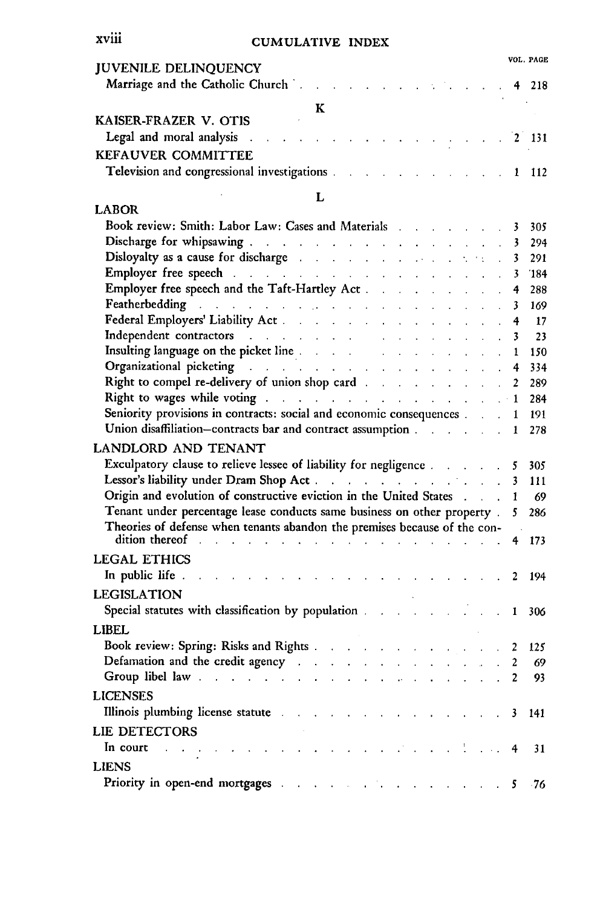#### **xviii**

#### **CUMULATIVE INDEX**

| <b>JUVENILE DELINQUENCY</b>                                                                                                  |   |  |  |  |  |  | VUL PAGE |
|------------------------------------------------------------------------------------------------------------------------------|---|--|--|--|--|--|----------|
| Marriage and the Catholic Church and the Catholic Church and the Catholic Church and the contract of the contract of the 218 |   |  |  |  |  |  |          |
| KAISER-FRAZER V. OTIS                                                                                                        | к |  |  |  |  |  |          |
| Legal and moral analysis and all contained a series of the series of the 19th and 20131                                      |   |  |  |  |  |  |          |
| <b>KEFAUVER COMMITTEE</b><br>Television and congressional investigations and a set of the state of the 1 and 112             |   |  |  |  |  |  |          |

#### $\mathbf{L}$

 $\mathcal{L} \in \mathcal{L}^{\mathrm{loc}}_{\mathrm{loc}}$ 

| <b>LABOR</b>                                                                                                                                                                                                                                                                                                                                                                                                                                                                                                                     |                   |     |
|----------------------------------------------------------------------------------------------------------------------------------------------------------------------------------------------------------------------------------------------------------------------------------------------------------------------------------------------------------------------------------------------------------------------------------------------------------------------------------------------------------------------------------|-------------------|-----|
| Book review: Smith: Labor Law: Cases and Materials and Materials                                                                                                                                                                                                                                                                                                                                                                                                                                                                 | 3                 | 305 |
|                                                                                                                                                                                                                                                                                                                                                                                                                                                                                                                                  | 3                 | 294 |
| Disloyalty as a cause for discharge and a summary contract of the state of                                                                                                                                                                                                                                                                                                                                                                                                                                                       | 3                 | 291 |
| <b>Employer free speech</b> and a summary contract the contract of the state of the state of the state of the state of                                                                                                                                                                                                                                                                                                                                                                                                           | 3                 | 184 |
|                                                                                                                                                                                                                                                                                                                                                                                                                                                                                                                                  | 4                 | 288 |
| Featherbedding and a summary state of the state of the state of the state of the state of the state of the state of the state of the state of the state of the state of the state of the state of the state of the state of th<br>and a strong state                                                                                                                                                                                                                                                                             | 3                 | 169 |
| Federal Employers' Liability Act.<br>$\mathbf{r} = \mathbf{r} \times \mathbf{r}$ . The $\mathbf{r}$<br>and a strategic con-                                                                                                                                                                                                                                                                                                                                                                                                      | 4                 | 17  |
| Independent contractors and the state of the state of the state of the state of the state of the state of the state of the state of the state of the state of the state of the state of the state of the state of the state of<br>$\ddot{\phantom{a}}$<br>$\mathbf{r}$<br>$\mathcal{L}^{\mathcal{L}}$                                                                                                                                                                                                                            | 3<br>$\mathbf{r}$ | 23  |
| Insulting language on the picket line and the state of the state of the state of the state of the state of the<br><b>Contractor</b><br><b>Contractor</b>                                                                                                                                                                                                                                                                                                                                                                         | 1                 | 150 |
| Organizational picketing and a series of the contract of the contract of the contract of the contract of the contract of the contract of the contract of the contract of the contract of the contract of the contract of the c<br>and a strategic                                                                                                                                                                                                                                                                                | 4                 | 334 |
| Right to compel re-delivery of union shop card and a state of the state of the state of the state of the state of the state of the state of the state of the state of the state of the state of the state of the state of the                                                                                                                                                                                                                                                                                                    | 2                 | 289 |
| Right to wages while voting and a summary contract of the state of the state of the state of the state of the                                                                                                                                                                                                                                                                                                                                                                                                                    |                   | 284 |
| Seniority provisions in contracts: social and economic consequences                                                                                                                                                                                                                                                                                                                                                                                                                                                              | 1                 | 191 |
| Union disaffiliation-contracts bar and contract assumption                                                                                                                                                                                                                                                                                                                                                                                                                                                                       | 1                 | 278 |
| <b>LANDLORD AND TENANT</b>                                                                                                                                                                                                                                                                                                                                                                                                                                                                                                       |                   |     |
| Exculpatory clause to relieve lessee of liability for negligence and a set of the                                                                                                                                                                                                                                                                                                                                                                                                                                                | 5                 | 305 |
| Lessor's liability under Dram Shop Act.                                                                                                                                                                                                                                                                                                                                                                                                                                                                                          | 3                 | 111 |
| Origin and evolution of constructive eviction in the United States 1                                                                                                                                                                                                                                                                                                                                                                                                                                                             |                   | 69  |
| Tenant under percentage lease conducts same business on other property.                                                                                                                                                                                                                                                                                                                                                                                                                                                          | 5                 | 286 |
| Theories of defense when tenants abandon the premises because of the con-                                                                                                                                                                                                                                                                                                                                                                                                                                                        |                   |     |
| dition thereof and the set of the set of the set of the set of the set of the set of the set of the set of the<br>and a series of the contract of the contract of the contract of                                                                                                                                                                                                                                                                                                                                                | 4                 | 173 |
| <b>LEGAL ETHICS</b>                                                                                                                                                                                                                                                                                                                                                                                                                                                                                                              |                   |     |
| In public life.<br>$\sim$<br>and a straight and a straight and                                                                                                                                                                                                                                                                                                                                                                                                                                                                   | 2                 | 194 |
| <b>LEGISLATION</b>                                                                                                                                                                                                                                                                                                                                                                                                                                                                                                               |                   |     |
|                                                                                                                                                                                                                                                                                                                                                                                                                                                                                                                                  |                   |     |
| Special statutes with classification by population and all contacts of the status of the status of the status of the status of the status of the status of the status of the status of the status of the status of the status                                                                                                                                                                                                                                                                                                    |                   |     |
|                                                                                                                                                                                                                                                                                                                                                                                                                                                                                                                                  | 1                 | 306 |
| <b>LIBEL</b>                                                                                                                                                                                                                                                                                                                                                                                                                                                                                                                     |                   |     |
|                                                                                                                                                                                                                                                                                                                                                                                                                                                                                                                                  | 2                 | 125 |
| Defamation and the credit agency and a series of the contract of the contract of the contract of the contract of                                                                                                                                                                                                                                                                                                                                                                                                                 | 2                 | 69  |
| Group libel law end as a contract of the contract of the contract of the contract of the contract of the contract of                                                                                                                                                                                                                                                                                                                                                                                                             | 2                 | 93  |
| <b>LICENSES</b>                                                                                                                                                                                                                                                                                                                                                                                                                                                                                                                  |                   |     |
| Illinois plumbing license statute and a subset of the status of the status of the status of the status of the                                                                                                                                                                                                                                                                                                                                                                                                                    | 3                 | 141 |
|                                                                                                                                                                                                                                                                                                                                                                                                                                                                                                                                  |                   |     |
| <b>LIE DETECTORS</b>                                                                                                                                                                                                                                                                                                                                                                                                                                                                                                             |                   |     |
| In court<br>$\mathcal{L}(\mathcal{L}^{\mathcal{L}}(\mathcal{L}^{\mathcal{L}}(\mathcal{L}^{\mathcal{L}}(\mathcal{L}^{\mathcal{L}}(\mathcal{L}^{\mathcal{L}}(\mathcal{L}^{\mathcal{L}}(\mathcal{L}^{\mathcal{L}}(\mathcal{L}^{\mathcal{L}}(\mathcal{L}^{\mathcal{L}}(\mathcal{L}^{\mathcal{L}}(\mathcal{L}^{\mathcal{L}}(\mathcal{L}^{\mathcal{L}}(\mathcal{L}^{\mathcal{L}}(\mathcal{L}^{\mathcal{L}}(\mathcal{L}^{\mathcal{L}}(\mathcal{L}^{\mathcal{L}}(\mathcal{L}$<br>and the same<br>and a state of<br>$\sim 10^{-11}$ $\mu$ | 4                 | 31  |
| <b>LIENS</b><br>Priority in open-end mortgages and the contract of the contract of the contract of the contract of the contract of the contract of the contract of the contract of the contract of the contract of the contract of the contrac                                                                                                                                                                                                                                                                                   | 5                 | -76 |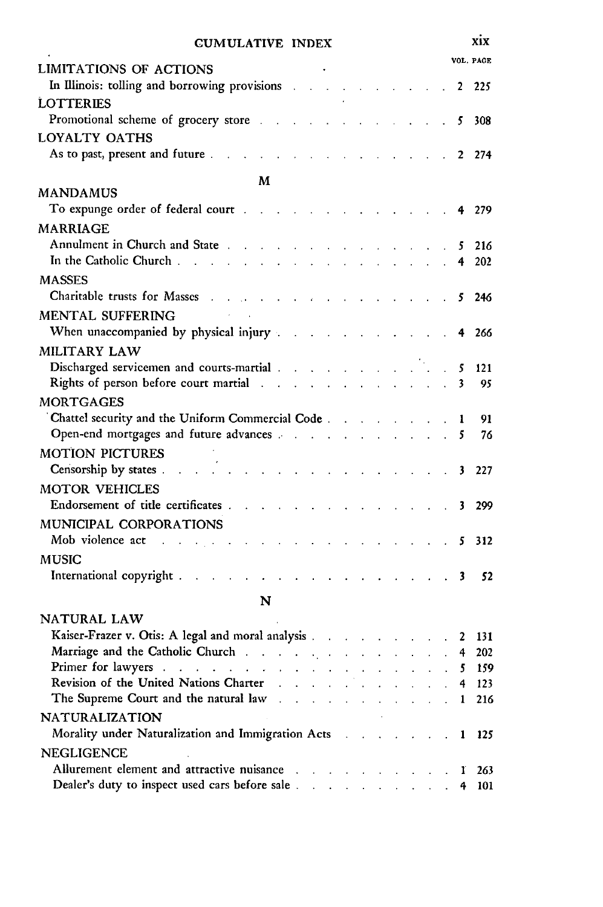|                                                                                                                                                                                                                                |                                                                          |                            |                             |  |                             |  |                    |        |   | VOL. PAGE |
|--------------------------------------------------------------------------------------------------------------------------------------------------------------------------------------------------------------------------------|--------------------------------------------------------------------------|----------------------------|-----------------------------|--|-----------------------------|--|--------------------|--------|---|-----------|
| LIMITATIONS OF ACTIONS<br>In Illinois: tolling and borrowing provisions                                                                                                                                                        |                                                                          | $\mathcal{L}_{\mathbf{a}}$ |                             |  |                             |  |                    |        | 2 | 225       |
| LOTTERIES                                                                                                                                                                                                                      |                                                                          |                            |                             |  |                             |  |                    |        |   |           |
| Promotional scheme of grocery store                                                                                                                                                                                            |                                                                          |                            |                             |  |                             |  |                    |        | 5 | 308       |
| LOYALTY OATHS<br>As to past, present and future.                                                                                                                                                                               |                                                                          |                            |                             |  |                             |  |                    |        | 2 | 274       |
|                                                                                                                                                                                                                                |                                                                          |                            |                             |  |                             |  |                    |        |   |           |
| <b>MANDAMUS</b>                                                                                                                                                                                                                | М                                                                        |                            |                             |  |                             |  |                    |        |   |           |
| To expunge order of federal court                                                                                                                                                                                              |                                                                          |                            |                             |  |                             |  |                    |        | 4 | 279       |
| <b>MARRIAGE</b>                                                                                                                                                                                                                |                                                                          |                            |                             |  |                             |  |                    |        |   |           |
| Annulment in Church and State the contract of the state of the state of the state of the state of the state of                                                                                                                 |                                                                          |                            |                             |  | and the control of the con- |  |                    |        | 5 | 216       |
| In the Catholic Church.<br>L.                                                                                                                                                                                                  |                                                                          |                            |                             |  |                             |  |                    |        | 4 | 202       |
| <b>MASSES</b>                                                                                                                                                                                                                  |                                                                          |                            |                             |  |                             |  |                    |        |   |           |
| Charitable trusts for Masses<br>and the contract of the                                                                                                                                                                        |                                                                          |                            | $\mathcal{L}_{\mathcal{A}}$ |  |                             |  |                    |        | 5 | 246       |
| MENTAL SUFFERING                                                                                                                                                                                                               |                                                                          |                            |                             |  |                             |  |                    |        |   |           |
| When unaccompanied by physical injury                                                                                                                                                                                          |                                                                          |                            |                             |  |                             |  |                    |        | 4 | 266       |
| <b>MILITARY LAW</b>                                                                                                                                                                                                            |                                                                          |                            |                             |  |                             |  |                    |        |   |           |
| Discharged servicemen and courts-martial                                                                                                                                                                                       |                                                                          |                            |                             |  |                             |  |                    |        | 5 | 121       |
| Rights of person before court martial and a contact of the state of person before court martial                                                                                                                                |                                                                          |                            |                             |  |                             |  | and the company of |        | 3 | 95        |
| <b>MORTGAGES</b>                                                                                                                                                                                                               |                                                                          |                            |                             |  |                             |  |                    |        |   |           |
| Chattel security and the Uniform Commercial Code                                                                                                                                                                               |                                                                          |                            |                             |  |                             |  |                    |        | 1 | 91        |
| Open-end mortgages and future advances and the control of the state of the control of the control of the control of the control of the control of the control of the control of the control of the control of the control of t |                                                                          |                            |                             |  |                             |  |                    |        | 5 | 76        |
| <b>MOTION PICTURES</b>                                                                                                                                                                                                         |                                                                          |                            |                             |  |                             |  |                    |        |   |           |
| Censorship by states.<br>$\sim 10^{-10}$ km $^{-1}$                                                                                                                                                                            | and a strategic control of the                                           |                            |                             |  |                             |  |                    |        | 3 | 227       |
| <b>MOTOR VEHICLES</b>                                                                                                                                                                                                          |                                                                          |                            |                             |  |                             |  |                    |        |   |           |
| Endorsement of title certificates .<br><b>Contract Contract</b>                                                                                                                                                                | $\sim 10$                                                                |                            |                             |  |                             |  |                    |        | 3 | 299       |
| MUNICIPAL CORPORATIONS                                                                                                                                                                                                         |                                                                          |                            |                             |  |                             |  |                    |        |   |           |
| Mob violence act<br>$\sim 100$ km s $^{-1}$<br><b>Contract Contract</b><br>$\sim$                                                                                                                                              |                                                                          |                            |                             |  |                             |  |                    | $\sim$ | 5 | 312       |
| <b>MUSIC</b>                                                                                                                                                                                                                   |                                                                          |                            |                             |  |                             |  |                    |        |   |           |
| International copyright.                                                                                                                                                                                                       |                                                                          |                            |                             |  |                             |  |                    |        | 3 | 52        |
|                                                                                                                                                                                                                                | $\mathbf{z} = \mathbf{z} + \mathbf{z}$ , where $\mathbf{z} = \mathbf{z}$ |                            |                             |  |                             |  |                    |        |   |           |
|                                                                                                                                                                                                                                | N                                                                        |                            |                             |  |                             |  |                    |        |   |           |
| NATURAL LAW                                                                                                                                                                                                                    |                                                                          |                            |                             |  |                             |  |                    |        |   |           |
| Kaiser-Frazer v. Otis: A legal and moral analysis                                                                                                                                                                              |                                                                          |                            |                             |  |                             |  |                    |        | 2 | 131       |
|                                                                                                                                                                                                                                |                                                                          |                            |                             |  |                             |  |                    |        | 4 | 202       |
| Primer for lawyers and a subsequently as a subsequently contained by the set of the set of the set of the set of the set of the set of the set of the set of the set of the set of the set of the set of the set of the set of |                                                                          |                            |                             |  |                             |  |                    |        | 5 | 159       |
| Revision of the United Nations Charter                                                                                                                                                                                         |                                                                          |                            |                             |  |                             |  |                    |        |   | 4 123     |
| The Supreme Court and the natural law                                                                                                                                                                                          |                                                                          |                            |                             |  |                             |  |                    |        | 1 | 216       |
| <b>NATURALIZATION</b>                                                                                                                                                                                                          |                                                                          |                            |                             |  |                             |  |                    |        |   |           |
| Morality under Naturalization and Immigration Acts                                                                                                                                                                             |                                                                          |                            |                             |  |                             |  |                    |        | 1 | 125       |
| <b>NEGLIGENCE</b>                                                                                                                                                                                                              |                                                                          |                            |                             |  |                             |  |                    |        |   |           |
| Allurement element and attractive nuisance                                                                                                                                                                                     |                                                                          |                            |                             |  |                             |  |                    |        |   | 263       |
| Dealer's duty to inspect used cars before sale.                                                                                                                                                                                |                                                                          |                            |                             |  |                             |  |                    |        |   | 101       |

#### xix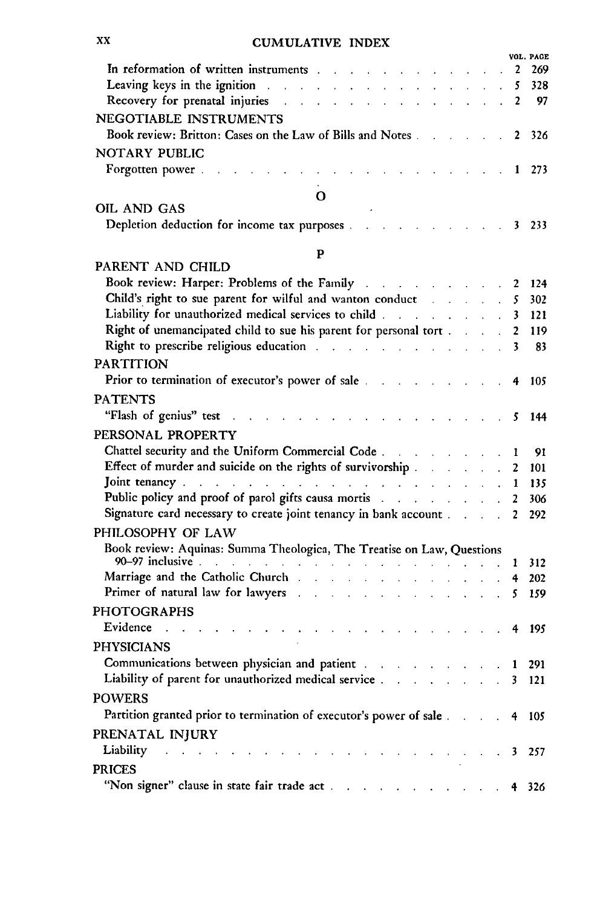|                                                                                                                                                                                                                                |  |                            |                | VOL. PAGE                                 |
|--------------------------------------------------------------------------------------------------------------------------------------------------------------------------------------------------------------------------------|--|----------------------------|----------------|-------------------------------------------|
| In reformation of written instruments and a subset of the set of the set of the set of the set of the set of the                                                                                                               |  |                            | 2              | 269                                       |
| Leaving keys in the ignition and the state of the state of the state of the state of the state of the state of                                                                                                                 |  |                            | 5              | 328                                       |
| Recovery for prenatal injuries and a substitution of the state of the state of the state of the state of the state of the state of the state of the state of the state of the state of the state of the state of the state of  |  |                            | $\mathbf{2}$   | 97                                        |
| NEGOTIABLE INSTRUMENTS                                                                                                                                                                                                         |  |                            |                |                                           |
| Book review: Britton: Cases on the Law of Bills and Notes                                                                                                                                                                      |  |                            | 2              | 326                                       |
| NOTARY PUBLIC                                                                                                                                                                                                                  |  |                            |                |                                           |
| Forgotten power.<br>and a strong control of the state of                                                                                                                                                                       |  |                            |                | $\begin{array}{cccc} 1 & 273 \end{array}$ |
|                                                                                                                                                                                                                                |  |                            |                |                                           |
| Ο<br>OIL AND GAS                                                                                                                                                                                                               |  |                            |                |                                           |
| Depletion deduction for income tax purposes 3                                                                                                                                                                                  |  |                            |                | 233                                       |
|                                                                                                                                                                                                                                |  |                            |                |                                           |
| $\mathbf{P}$                                                                                                                                                                                                                   |  |                            |                |                                           |
| PARENT AND CHILD                                                                                                                                                                                                               |  |                            |                |                                           |
| Book review: Harper: Problems of the Family                                                                                                                                                                                    |  |                            | 2              | 124                                       |
| Child's right to sue parent for wilful and wanton conduct and all conduct of the state of the state of the state of the state of the state of the state of the state of the state of the state of the state of the state of th |  | $\mathbf{r}$               | 5              | 302                                       |
| Liability for unauthorized medical services to child                                                                                                                                                                           |  |                            | 3              | 121                                       |
| Right of unemancipated child to sue his parent for personal tort                                                                                                                                                               |  | $\mathcal{L}^{\text{max}}$ | 2              | 119                                       |
| Right to prescribe religious education and a subset of the state of the state of the state of the state of the                                                                                                                 |  |                            | 3              | 83                                        |
| <b>PARTITION</b>                                                                                                                                                                                                               |  |                            |                |                                           |
| Prior to termination of executor's power of sale and a contract of the same of sale                                                                                                                                            |  |                            | 4              | 105                                       |
| <b>PATENTS</b>                                                                                                                                                                                                                 |  |                            |                |                                           |
| "Flash of genius" test<br>and a strategic and                                                                                                                                                                                  |  |                            | 5              | 144                                       |
| PERSONAL PROPERTY                                                                                                                                                                                                              |  |                            |                |                                           |
|                                                                                                                                                                                                                                |  |                            |                | 91                                        |
| Effect of murder and suicide on the rights of survivorship                                                                                                                                                                     |  | $\mathbf{r}$               | 1<br>2         | 101                                       |
| Joint tenancy contract the contract of the contract of the contract of the contract of the contract of the contract of the contract of the contract of the contract of the contract of the contract of the contract of the con |  |                            | 1              | 135                                       |
| Public policy and proof of parol gifts causa mortis and a controller and the policy and proof of parol gifts causa mortis                                                                                                      |  |                            | $\overline{2}$ | 306                                       |
| Signature card necessary to create joint tenancy in bank account                                                                                                                                                               |  |                            | $\mathbf{2}$   | 292                                       |
| PHILOSOPHY OF LAW                                                                                                                                                                                                              |  |                            |                |                                           |
| Book review: Aquinas: Summa Theologica, The Treatise on Law, Questions                                                                                                                                                         |  |                            |                |                                           |
|                                                                                                                                                                                                                                |  |                            | 1              | 312                                       |
| Marriage and the Catholic Church and a state of the contract of the Catholic Church and a state of the contract of the contract of the contract of the contract of the contract of the contract of the contract of the contrac |  |                            | 4              | 202                                       |
| Primer of natural law for lawyers and a substitution of the state of the state of                                                                                                                                              |  |                            |                | 159                                       |
| <b>PHOTOGRAPHS</b>                                                                                                                                                                                                             |  |                            |                |                                           |
| Evidence                                                                                                                                                                                                                       |  |                            | 4              | 195                                       |
| <b>PHYSICIANS</b>                                                                                                                                                                                                              |  |                            |                |                                           |
| Communications between physician and patient.                                                                                                                                                                                  |  |                            |                |                                           |
| and a series of the company of the<br>Liability of parent for unauthorized medical service 3 121                                                                                                                               |  |                            | $\mathbf{1}$   | 291                                       |
|                                                                                                                                                                                                                                |  |                            |                |                                           |
| <b>POWERS</b>                                                                                                                                                                                                                  |  |                            |                |                                           |
| Partition granted prior to termination of executor's power of sale                                                                                                                                                             |  |                            |                | 4 105                                     |
| PRENATAL INJURY                                                                                                                                                                                                                |  |                            |                |                                           |
| Liability<br>الوالدين الموالي والموالي والموالي والموالي والموالي والموالي والموالي والموالي والموالي والموالي                                                                                                                 |  |                            |                | 3 257                                     |
| <b>PRICES</b>                                                                                                                                                                                                                  |  |                            |                |                                           |
| "Non signer" clause in state fair trade act                                                                                                                                                                                    |  |                            |                | 4 326                                     |

 $\mathbf{X}\mathbf{X}$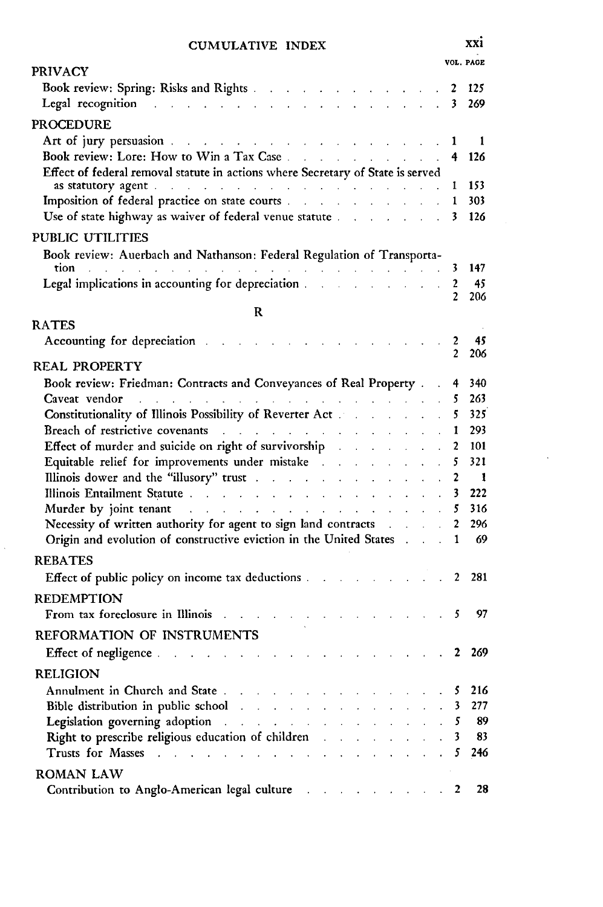#### **CUMULATIVE** INDEX **XXi**

**VOL. PAGE** PRIVACY Book review: Spring: Risks and Rights **....** ........... . 2 **<sup>125</sup>** Legal recognition **.......** .................. **3 269 PROCEDURE** Art of jury persuasion **........** ................. 1 1 Book review: Lore: How to Win a Tax Case **...** .......... **.4** <sup>126</sup> Effect of federal removal statute in actions where Secretary of State is served as statutory agent **.......** .................. 1 *<sup>153</sup>* Imposition of federal practice on state courts **...** .......... 1 303 Use of state highway as waiver of federal venue statute ......... **.** 3 126 PUBLIC UTILITIES Book review: Auerbach and Nathanson: Federal Regulation of Transportation **.........** .................. **. .** . 3 147 Legal implications in accounting for depreciation **... . .** . 2 45 206 R RATES Accounting for depreciation **......** ............... 2 45 2 206 REAL PROPERTY Book review: Friedman: Contracts and Conveyances of Real Property . . 4 340 Caveat vendor **........** ................... 5 263 Constitutionality of Illinois Possibility of Reverter Act ......... **.** 5 **325** Breach of restrictive covenants **.....** .............. 1 293 Effect of murder and suicide on right of survivorship **.** ....... **.** 2 101 Equitable relief for improvements under mistake **...** ........ **5** 321 Illinois dower and the "illusory" trust **....** ............ 2 1 Illinois Entailment Statute **......** ................ **3** 222 Murder by joint tenant **......** ................ 5 316 Necessity of written authority for agent to sign land contracts **....** 2 296 Origin and evolution of constructive eviction in the United States **. 1** 69 REBATES Effect of public policy on income tax deductions . **. . . . . . ..** 2 281 **REDEMPTION** From tax foreclosure in Illinois **.....** .............. *5* 97 REFORMATION OF INSTRUMENTS Effect of negligence **. . . . . . . . . . . . . . . . . .** 2 269 RELIGION Annulment in Church and State **.....** .............. **5 216** Bible distribution in public school **....** ............. 3 277 Legislation governing adoption **.......** .............. *5* 89 Right to prescribe religious education of children **...** ........ 3 83 Trusts for Masses **.......** .................. 5 246 ROMAN LAW Contribution to Anglo-American legal culture **2 28**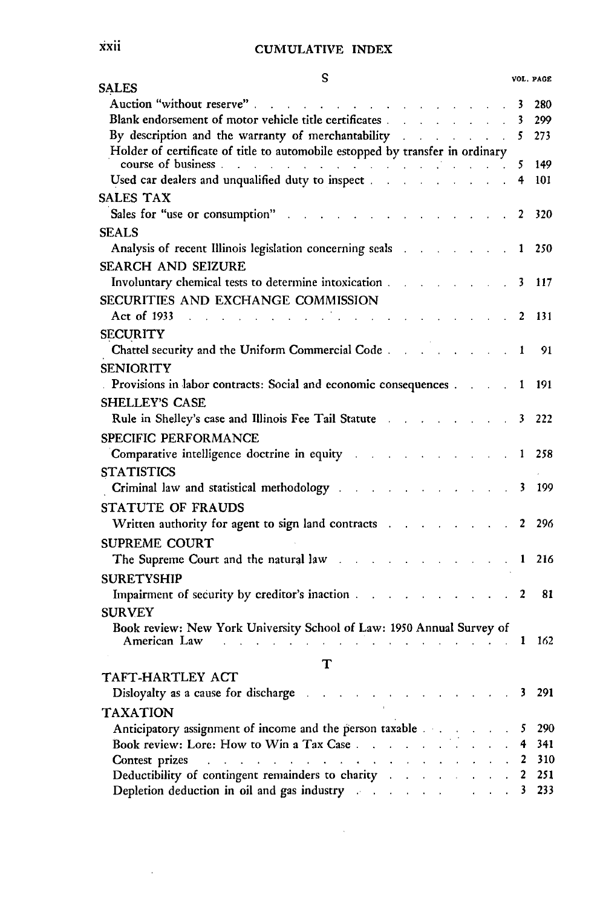| S<br><b>SALES</b>                                                                                                                                                                                                                                  |                    |             |                             |                                          |                           |                      |                | VOL. PAGE  |
|----------------------------------------------------------------------------------------------------------------------------------------------------------------------------------------------------------------------------------------------------|--------------------|-------------|-----------------------------|------------------------------------------|---------------------------|----------------------|----------------|------------|
| Auction "without reserve"<br>$\mathcal{L}^{\mathcal{A}}$ , where $\mathcal{L}^{\mathcal{A}}$ , where $\mathcal{L}^{\mathcal{A}}$ , where $\mathcal{L}^{\mathcal{A}}$                                                                               |                    |             |                             |                                          |                           |                      | 3              | 280        |
| Blank endorsement of motor vehicle title certificates and all all the set of motor vehicle title certificates                                                                                                                                      |                    | $\sim$      |                             |                                          |                           |                      | 3              | 299        |
| By description and the warranty of merchantability and a series of the series of merchantability and a series of the series of the series of the series of the series of the series of the series of the series of the series                      |                    |             |                             |                                          |                           |                      | 5              | 273        |
| Holder of certificate of title to automobile estopped by transfer in ordinary                                                                                                                                                                      |                    |             |                             |                                          |                           |                      |                |            |
| course of business.<br>$\mathcal{A}$ . The contribution of the contribution of the contribution of $\mathcal{A}$                                                                                                                                   |                    |             |                             |                                          |                           |                      | 5              | 149        |
| Used car dealers and unqualified duty to inspect                                                                                                                                                                                                   |                    |             |                             |                                          |                           |                      | 4              | 101        |
| <b>SALES TAX</b>                                                                                                                                                                                                                                   |                    |             |                             |                                          |                           |                      |                |            |
| Sales for "use or consumption"<br><b>Contract Contract</b>                                                                                                                                                                                         |                    |             |                             |                                          |                           |                      | 2              | 320        |
| <b>SEALS</b>                                                                                                                                                                                                                                       |                    |             |                             |                                          |                           |                      |                |            |
| Analysis of recent Illinois legislation concerning seals [11] Analysis of recent Illinois legislation concerning seals                                                                                                                             |                    |             |                             |                                          |                           |                      | 1              | 250        |
| <b>SEARCH AND SEIZURE</b>                                                                                                                                                                                                                          |                    |             |                             |                                          |                           |                      |                |            |
| Involuntary chemical tests to determine intoxication.                                                                                                                                                                                              |                    |             |                             |                                          |                           |                      | 3              | 117        |
| SECURITIES AND EXCHANGE COMMISSION                                                                                                                                                                                                                 |                    |             |                             |                                          |                           |                      |                |            |
| Act of 1933<br><b>Contract Contract Contract</b><br>and the company of the company of<br>$\sim 10$                                                                                                                                                 |                    |             |                             |                                          |                           |                      | 2              | 131        |
| <b>SECURITY</b>                                                                                                                                                                                                                                    |                    |             |                             |                                          |                           |                      |                |            |
| Chattel security and the Uniform Commercial Code                                                                                                                                                                                                   |                    |             |                             |                                          |                           |                      | 1              | 91         |
| <b>SENIORITY</b>                                                                                                                                                                                                                                   |                    |             |                             |                                          |                           |                      |                |            |
| Provisions in labor contracts: Social and economic consequences                                                                                                                                                                                    |                    |             |                             |                                          |                           |                      | 1              | 191        |
| <b>SHELLEY'S CASE</b>                                                                                                                                                                                                                              |                    |             |                             |                                          |                           |                      |                |            |
| Rule in Shelley's case and Illinois Fee Tail Statute and a statute of the Shelley's case and Illinois Fee Tail Statute                                                                                                                             |                    |             |                             |                                          |                           |                      | 3              | 222        |
| <b>SPECIFIC PERFORMANCE</b>                                                                                                                                                                                                                        |                    |             |                             |                                          |                           |                      |                |            |
| Comparative intelligence doctrine in equity                                                                                                                                                                                                        |                    |             |                             | $\mathbf{z} = \mathbf{z} + \mathbf{z}$ . |                           |                      | 1              | 258        |
| <b>STATISTICS</b>                                                                                                                                                                                                                                  |                    |             |                             |                                          |                           |                      |                |            |
| Criminal law and statistical methodology                                                                                                                                                                                                           |                    | and a state | $\Delta$                    |                                          |                           |                      | 3              | 199        |
|                                                                                                                                                                                                                                                    |                    |             |                             |                                          |                           |                      |                |            |
| STATUTE OF FRAUDS<br>Written authority for agent to sign land contracts and contributed as a set of the set of the set of the set of the set of the set of the set of the set of the set of the set of the set of the set of the set of the set of |                    |             |                             |                                          |                           | $\ddot{\phantom{a}}$ | $\mathbf{2}$   | 296        |
|                                                                                                                                                                                                                                                    |                    |             |                             |                                          |                           |                      |                |            |
| <b>SUPREME COURT</b>                                                                                                                                                                                                                               |                    |             |                             |                                          |                           |                      |                |            |
| The Supreme Court and the natural law                                                                                                                                                                                                              |                    |             |                             | and the company of                       |                           |                      | $\mathbf{1}$   | 216        |
| <b>SURETYSHIP</b>                                                                                                                                                                                                                                  |                    |             |                             |                                          |                           |                      |                |            |
| Impairment of security by creditor's inaction                                                                                                                                                                                                      |                    |             |                             | and the contract of the contract of      |                           |                      | $\overline{a}$ | 81         |
| <b>SURVEY</b>                                                                                                                                                                                                                                      |                    |             |                             |                                          |                           |                      |                |            |
| Book review: New York University School of Law: 1950 Annual Survey of<br>American Law                                                                                                                                                              |                    |             |                             |                                          |                           |                      | 1              | 162        |
| and a strategic control of the state                                                                                                                                                                                                               |                    |             |                             |                                          |                           |                      |                |            |
| т                                                                                                                                                                                                                                                  |                    |             |                             |                                          |                           |                      |                |            |
| TAFT-HARTLEY ACT                                                                                                                                                                                                                                   |                    |             |                             |                                          |                           |                      |                | 291        |
| Disloyalty as a cause for discharge                                                                                                                                                                                                                |                    |             |                             |                                          |                           |                      | 3              |            |
| <b>TAXATION</b>                                                                                                                                                                                                                                    |                    |             |                             |                                          |                           |                      |                |            |
| Anticipatory assignment of income and the person taxable and the state of an                                                                                                                                                                       |                    |             |                             |                                          |                           |                      | 5              | 290        |
| Book review: Lore: How to Win a Tax Case                                                                                                                                                                                                           |                    |             | $\mathcal{L}^{\mathcal{L}}$ | $\ddot{\phantom{0}}$                     |                           |                      | 4              | 341<br>310 |
| Contest prizes<br><b>Contractor</b><br>Deductibility of contingent remainders to charity and all the state of the state of the state of the state of                                                                                               | $\mathbf{v}^{(i)}$ |             |                             |                                          | $\mathbf{L} = \mathbf{L}$ |                      | 2<br>2         | 251        |
| Depletion deduction in oil and gas industry and the control of the control of the control of the control of the control of the control of the control of the control of the control of the control of the control of the contr                     |                    |             |                             |                                          |                           |                      | 3              | 233        |
|                                                                                                                                                                                                                                                    |                    |             |                             |                                          |                           |                      |                |            |

 $\sim$   $\sim$ 

 $\Delta \sim 1$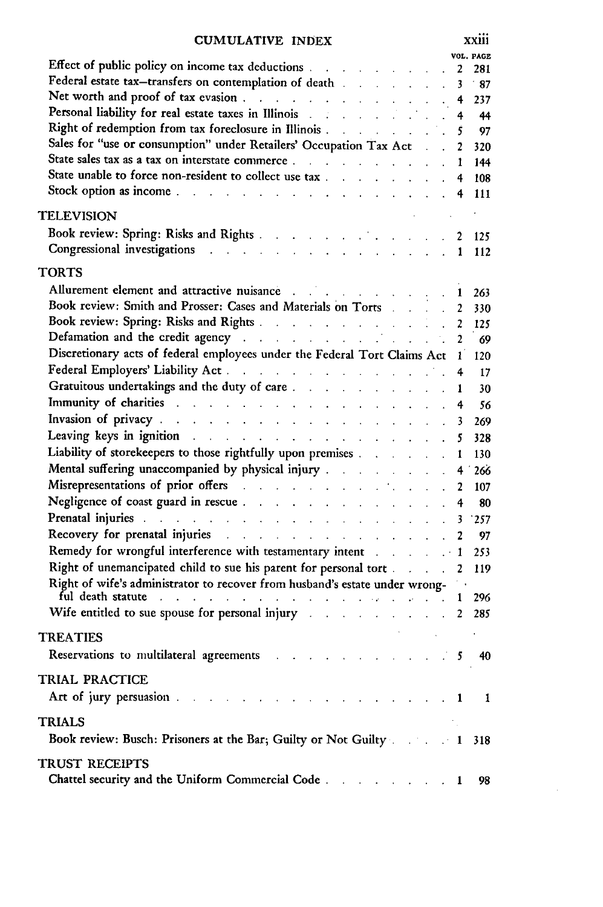| CUMULATIVE INDEX                                                                                                                                                                                                               |                | <b>XX111</b>   |
|--------------------------------------------------------------------------------------------------------------------------------------------------------------------------------------------------------------------------------|----------------|----------------|
| Effect of public policy on income tax deductions                                                                                                                                                                               |                | VOL. PAGE      |
|                                                                                                                                                                                                                                | 2              | 281            |
| Federal estate tax-transfers on contemplation of death and a state of the state of the state of the state of the state of the state of the state of the state of the state of the state of the state of the state of the state | 3              | $\cdot$ 87     |
|                                                                                                                                                                                                                                | 4              | 237            |
| Net worth and proof of tax evasion<br>Personal liability for real estate taxes in Illinois                                                                                                                                     | 4              | - 44           |
|                                                                                                                                                                                                                                | .5             | 97             |
| Sales for "use or consumption" under Retailers' Occupation Tax Act 2                                                                                                                                                           |                | 320            |
| State sales tax as a tax on interstate commerce.                                                                                                                                                                               | $\mathbf{r}$   | 144            |
| State unable to force non-resident to collect use tax                                                                                                                                                                          | 4              | 108            |
| Stock option as income the contract of the contract of the contract of the contract of the contract of the contract of the contract of the contract of the contract of the contract of the contract of the contract of the con | 4              | 111            |
| <b>TELEVISION</b>                                                                                                                                                                                                              |                |                |
|                                                                                                                                                                                                                                |                |                |
| Book review: Spring: Risks and Rights 2 125                                                                                                                                                                                    |                |                |
| Congressional investigations and a series of the contract of the contract of the contract of the contract of the contract of the contract of the contract of the contract of the contract of the contract of the contract of t | $\mathbf{1}$   | 112            |
| TORTS                                                                                                                                                                                                                          |                |                |
| Allurement element and attractive nuisance and the state of the state of the state of the state of the state of the state of the state of the state of the state of the state of the state of the state of the state of the st | 1              | 263            |
| Book review: Smith and Prosser: Cases and Materials on Torts                                                                                                                                                                   | 2              | 330            |
| Book review: Spring: Risks and Rights                                                                                                                                                                                          | $\overline{2}$ | 125            |
| Defamation and the credit agency and the credit agency and the credit agency                                                                                                                                                   | $\overline{2}$ | 69             |
| Discretionary acts of federal employees under the Federal Tort Claims Act 1                                                                                                                                                    |                | 120            |
| Federal Employers' Liability Act. And a contract of the state of the state of the state of the state of the state of the state of the state of the state of the state of the state of the state of the state of the state of t |                |                |
|                                                                                                                                                                                                                                |                | <b>17</b>      |
| Immunity of charities and a series of the series of the series of the series of the series of the series of the                                                                                                                | 1              | - 30           |
| $\mathbf{L} = \mathbf{L} \times \mathbf{L} = \mathbf{L} \times \mathbf{L}$                                                                                                                                                     | 4              | - 56           |
| Invasion of privacy and a series of the contract of the series of the contract of the contract of the contract of the contract of the contract of the contract of the contract of the contract of the contract of the contract | 3              | 269            |
| Leaving keys in ignition and the contract of the state of the state of the state of the state of the state of the state of the state of the state of the state of the state of the state of the state of the state of the stat | 5              | 328            |
| Liability of storekeepers to those rightfully upon premises                                                                                                                                                                    | 1              | 130            |
| Mental suffering unaccompanied by physical injury                                                                                                                                                                              | 4 1            | 266            |
| Misrepresentations of prior offers and a subset of the state of the state of the state of the state of the state of the state of the state of the state of the state of the state of the state of the state of the state of th | 2              | 107            |
|                                                                                                                                                                                                                                | 4              | 80             |
| Prenatal injuries and a contract of the contract of the contract of the contract of the contract of the contract of                                                                                                            | 3              | 257            |
| Recovery for prenatal injuries and a subset of the state of the state of the state of the state of the state of                                                                                                                | 2              | - 97           |
| Remedy for wrongful interference with testamentary intent and some and the line                                                                                                                                                |                | 253            |
| Right of unemancipated child to sue his parent for personal tort                                                                                                                                                               | 2              | 119            |
| Right of wife's administrator to recover from husband's estate under wrong-                                                                                                                                                    |                |                |
| ful death statute the contract of the contract of the contract of the contract of the contract of the contract of the contract of the contract of the contract of the contract of the contract of the contract of the contract |                | 296            |
| Wife entitled to sue spouse for personal injury 2 285                                                                                                                                                                          |                |                |
|                                                                                                                                                                                                                                |                |                |
| <b>TREATIES</b>                                                                                                                                                                                                                |                |                |
| Reservations to multilateral agreements and all the contracts                                                                                                                                                                  |                | $5\quad 40$    |
| TRIAL PRACTICE                                                                                                                                                                                                                 |                |                |
| Art of jury persuasion and a contract the contract of the property of the contract of the contract of the contract of the contract of the contract of the contract of the contract of the contract of the contract of the cont |                | $\blacksquare$ |
| <b>TRIALS</b>                                                                                                                                                                                                                  |                |                |
|                                                                                                                                                                                                                                |                |                |
| Book review: Busch: Prisoners at the Bar; Guilty or Not Guilty                                                                                                                                                                 |                | 318            |
| <b>TRUST RECEIPTS</b>                                                                                                                                                                                                          |                |                |
| Chattel security and the Uniform Commercial Code                                                                                                                                                                               | 1              | 98             |